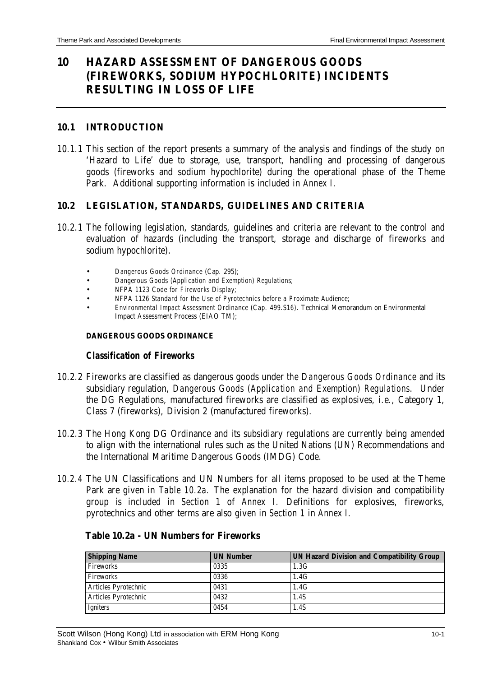# **10 HAZARD ASSESSMENT OF DANGEROUS GOODS (FIREWORKS, SODIUM HYPOCHLORITE) INCIDENTS RESULTING IN LOSS OF LIFE**

#### **10.1 INTRODUCTION**

10.1.1 This section of the report presents a summary of the analysis and findings of the study on 'Hazard to Life' due to storage, use, transport, handling and processing of dangerous goods (fireworks and sodium hypochlorite) during the operational phase of the Theme Park. Additional supporting information is included in *Annex I.*

### **10.2 LEGISLATION, STANDARDS, GUIDELINES AND CRITERIA**

- 10.2.1 The following legislation, standards, guidelines and criteria are relevant to the control and evaluation of hazards (including the transport, storage and discharge of fireworks and sodium hypochlorite).
	- *Dangerous Goods Ordinance* (Cap. 295);
	- *Dangerous Goods (Application and Exemption) Regulations;*
	- *NFPA 1123 Code for Fireworks Display;*
	- *NFPA 1126 Standard for the Use of Pyrotechnics before a Proximate Audience*;
	- *Environmental Impact Assessment Ordinance (Cap. 499.S16)*. Technical Memorandum on Environmental Impact Assessment Process (EIAO TM);

#### **DANGEROUS GOODS ORDINANCE**

#### *Classification of Fireworks*

- 10.2.2 Fireworks are classified as dangerous goods under *the Dangerous Goods Ordinance* and its subsidiary regulation, *Dangerous Goods (Application and Exemption) Regulations*. Under the DG Regulations, manufactured fireworks are classified as explosives, i.e., Category 1, Class 7 (fireworks), Division 2 (manufactured fireworks).
- 10.2.3 The Hong Kong DG Ordinance and its subsidiary regulations are currently being amended to align with the international rules such as the United Nations (UN) Recommendations and the International Maritime Dangerous Goods (IMDG) Code.
- *10.2.4* The UN Classifications and UN Numbers for all items proposed to be used at the Theme Park are given in *Table 10.2a.* The explanation for the hazard division and compatibility group is included in *Section 1* of *Annex I.* Definitions for explosives, fireworks, pyrotechnics and other terms are also given in *Section 1* in *Annex I.*

| <b>Shipping Name</b> | <b>UN Number</b> | <b>UN Hazard Division and Compatibility Group</b> |
|----------------------|------------------|---------------------------------------------------|
| Fireworks            | 0335             | 1.3G                                              |
| Fireworks            | 0336             | 1.4G                                              |
| Articles Pyrotechnic | 0431             | 1.4G                                              |
| Articles Pyrotechnic | 0432             | 1.4S                                              |
| <b>Igniters</b>      | 0454             | 1.4S                                              |

#### **Table 10.2a - UN Numbers for Fireworks**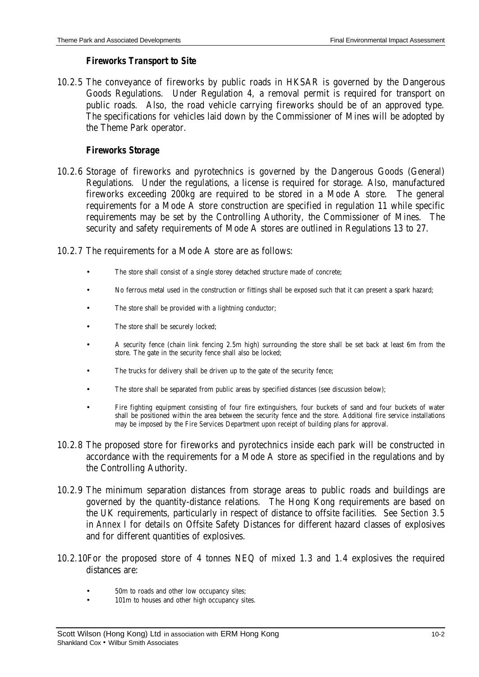### *Fireworks Transport to Site*

10.2.5 The conveyance of fireworks by public roads in HKSAR is governed by the Dangerous Goods Regulations. Under Regulation 4, a removal permit is required for transport on public roads. Also, the road vehicle carrying fireworks should be of an approved type. The specifications for vehicles laid down by the Commissioner of Mines will be adopted by the Theme Park operator.

### *Fireworks Storage*

- 10.2.6 Storage of fireworks and pyrotechnics is governed by the Dangerous Goods (General) Regulations. Under the regulations, a license is required for storage. Also, manufactured fireworks exceeding 200kg are required to be stored in a Mode A store. The general requirements for a Mode A store construction are specified in regulation 11 while specific requirements may be set by the Controlling Authority, the Commissioner of Mines. The security and safety requirements of Mode A stores are outlined in Regulations 13 to 27.
- 10.2.7 The requirements for a Mode A store are as follows:
	- The store shall consist of a single storey detached structure made of concrete;
	- No ferrous metal used in the construction or fittings shall be exposed such that it can present a spark hazard;
	- The store shall be provided with a lightning conductor;
	- The store shall be securely locked;
	- A security fence (chain link fencing 2.5m high) surrounding the store shall be set back at least 6m from the store. The gate in the security fence shall also be locked;
	- The trucks for delivery shall be driven up to the gate of the security fence;
	- The store shall be separated from public areas by specified distances (see discussion below);
	- Fire fighting equipment consisting of four fire extinguishers, four buckets of sand and four buckets of water shall be positioned within the area between the security fence and the store. Additional fire service installations may be imposed by the Fire Services Department upon receipt of building plans for approval.
- 10.2.8 The proposed store for fireworks and pyrotechnics inside each park will be constructed in accordance with the requirements for a Mode A store as specified in the regulations and by the Controlling Authority.
- 10.2.9 The minimum separation distances from storage areas to public roads and buildings are governed by the quantity-distance relations. The Hong Kong requirements are based on the UK requirements, particularly in respect of distance to offsite facilities. See *Section 3.5* in *Annex I* for details on Offsite Safety Distances for different hazard classes of explosives and for different quantities of explosives.
- 10.2.10 For the proposed store of 4 tonnes NEQ of mixed 1.3 and 1.4 explosives the required distances are:
	- 50m to roads and other low occupancy sites;
	- 101m to houses and other high occupancy sites.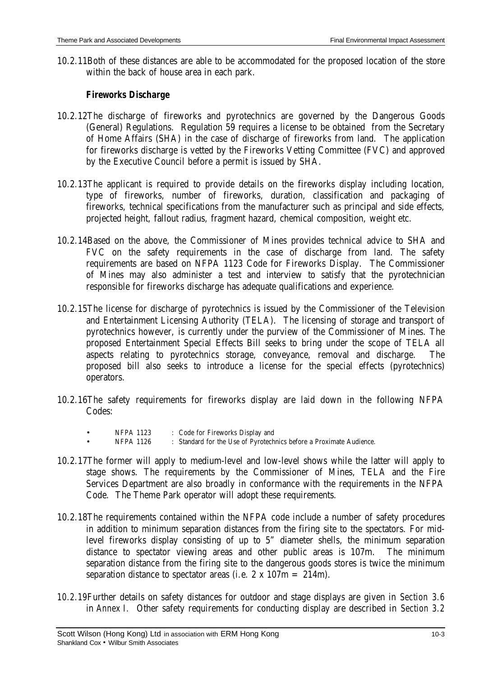10.2.11 Both of these distances are able to be accommodated for the proposed location of the store within the back of house area in each park.

# *Fireworks Discharge*

- 10.2.12 The discharge of fireworks and pyrotechnics are governed by the Dangerous Goods (General) Regulations. Regulation 59 requires a license to be obtained from the Secretary of Home Affairs (SHA) in the case of discharge of fireworks from land. The application for fireworks discharge is vetted by the Fireworks Vetting Committee (FVC) and approved by the Executive Council before a permit is issued by SHA.
- 10.2.13 The applicant is required to provide details on the fireworks display including location, type of fireworks, number of fireworks, duration, classification and packaging of fireworks, technical specifications from the manufacturer such as principal and side effects, projected height, fallout radius, fragment hazard, chemical composition, weight etc.
- 10.2.14 Based on the above, the Commissioner of Mines provides technical advice to SHA and FVC on the safety requirements in the case of discharge from land. The safety requirements are based on NFPA 1123 Code for Fireworks Display. The Commissioner of Mines may also administer a test and interview to satisfy that the pyrotechnician responsible for fireworks discharge has adequate qualifications and experience.
- 10.2.15 The license for discharge of pyrotechnics is issued by the Commissioner of the Television and Entertainment Licensing Authority (TELA). The licensing of storage and transport of pyrotechnics however, is currently under the purview of the Commissioner of Mines. The proposed Entertainment Special Effects Bill seeks to bring under the scope of TELA all aspects relating to pyrotechnics storage, conveyance, removal and discharge. The proposed bill also seeks to introduce a license for the special effects (pyrotechnics) operators.
- 10.2.16 The safety requirements for fireworks display are laid down in the following NFPA Codes:
	- NFPA 1123 : Code for Fireworks Display and
	- NFPA 1126 : Standard for the Use of Pyrotechnics before a Proximate Audience.
- 10.2.17 The former will apply to medium-level and low-level shows while the latter will apply to stage shows. The requirements by the Commissioner of Mines, TELA and the Fire Services Department are also broadly in conformance with the requirements in the NFPA Code. The Theme Park operator will adopt these requirements.
- 10.2.18 The requirements contained within the NFPA code include a number of safety procedures in addition to minimum separation distances from the firing site to the spectators. For midlevel fireworks display consisting of up to 5" diameter shells, the minimum separation distance to spectator viewing areas and other public areas is 107m. The minimum separation distance from the firing site to the dangerous goods stores is twice the minimum separation distance to spectator areas (i.e.  $2 \times 107$ m = 214m).
- *10.2.19* Further details on safety distances for outdoor and stage displays are given in *Section 3.6* in *Annex I.* Other safety requirements for conducting display are described in *Section 3.2*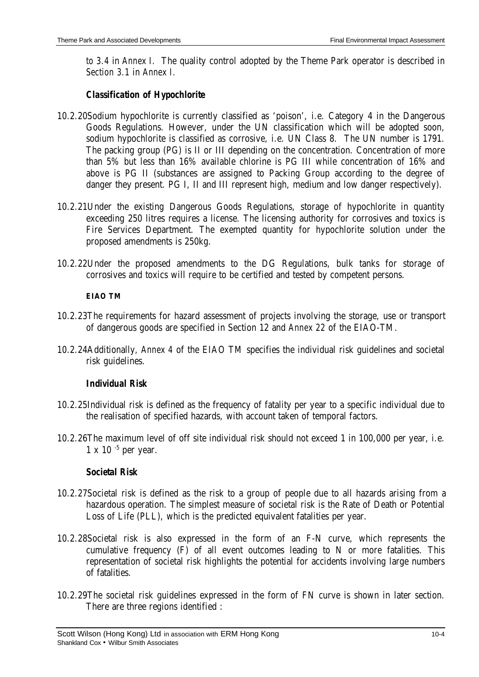*to 3.4* in *Annex I.* The quality control adopted by the Theme Park operator is described in *Section 3.1* in *Annex I.*

# *Classification of Hypochlorite*

- 10.2.20 Sodium hypochlorite is currently classified as 'poison', i.e. Category 4 in the Dangerous Goods Regulations. However, under the UN classification which will be adopted soon, sodium hypochlorite is classified as corrosive, i.e. UN Class 8. The UN number is 1791. The packing group (PG) is II or III depending on the concentration. Concentration of more than 5% but less than 16% available chlorine is PG III while concentration of 16% and above is PG II (substances are assigned to Packing Group according to the degree of danger they present. PG I, II and III represent high, medium and low danger respectively).
- 10.2.21 Under the existing Dangerous Goods Regulations, storage of hypochlorite in quantity exceeding 250 litres requires a license. The licensing authority for corrosives and toxics is Fire Services Department. The exempted quantity for hypochlorite solution under the proposed amendments is 250kg.
- 10.2.22 Under the proposed amendments to the DG Regulations, bulk tanks for storage of corrosives and toxics will require to be certified and tested by competent persons.

### **EIAO TM**

- 10.2.23 The requirements for hazard assessment of projects involving the storage, use or transport of dangerous goods are specified in Section 12 and *Annex 22* of the EIAO-TM.
- 10.2.24 Additionally*, Annex 4* of the EIAO TM specifies the individual risk guidelines and societal risk guidelines.

### *Individual Risk*

- 10.2.25 Individual risk is defined as the frequency of fatality per year to a specific individual due to the realisation of specified hazards, with account taken of temporal factors.
- 10.2.26 The maximum level of off site individual risk should not exceed 1 in 100,000 per year, i.e.  $1 \times 10^{-5}$  per year.

# *Societal Risk*

- 10.2.27 Societal risk is defined as the risk to a group of people due to all hazards arising from a hazardous operation. The simplest measure of societal risk is the Rate of Death or Potential Loss of Life (PLL), which is the predicted equivalent fatalities per year.
- 10.2.28 Societal risk is also expressed in the form of an F-N curve, which represents the cumulative frequency (F) of all event outcomes leading to N or more fatalities. This representation of societal risk highlights the potential for accidents involving large numbers of fatalities.
- 10.2.29 The societal risk guidelines expressed in the form of FN curve is shown in later section. There are three regions identified :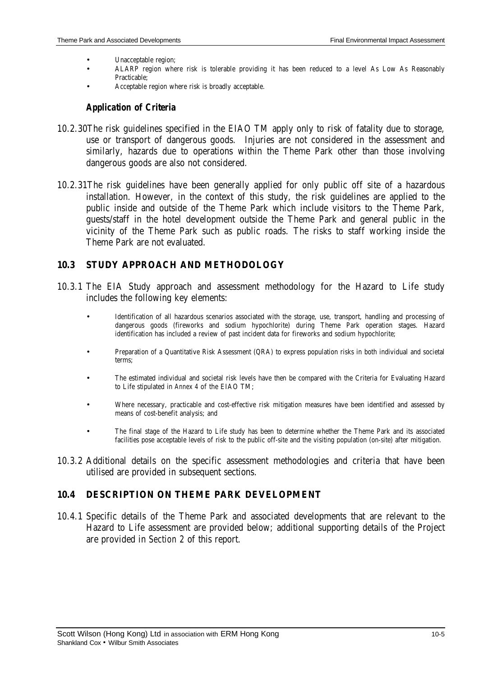- Unacceptable region;
- ALARP region where risk is tolerable providing it has been reduced to a level As Low As Reasonably Practicable;
- Acceptable region where risk is broadly acceptable.

### *Application of Criteria*

- 10.2.30 The risk guidelines specified in the EIAO TM apply only to risk of fatality due to storage, use or transport of dangerous goods. Injuries are not considered in the assessment and similarly, hazards due to operations within the Theme Park other than those involving dangerous goods are also not considered.
- 10.2.31 The risk guidelines have been generally applied for only public off site of a hazardous installation. However, in the context of this study, the risk guidelines are applied to the public inside and outside of the Theme Park which include visitors to the Theme Park, guests/staff in the hotel development outside the Theme Park and general public in the vicinity of the Theme Park such as public roads. The risks to staff working inside the Theme Park are not evaluated.

### **10.3 STUDY APPROACH AND METHODOLOGY**

- 10.3.1 The EIA Study approach and assessment methodology for the Hazard to Life study includes the following key elements:
	- Identification of all hazardous scenarios associated with the storage, use, transport, handling and processing of dangerous goods (fireworks and sodium hypochlorite) during Theme Park operation stages. Hazard identification has included a review of past incident data for fireworks and sodium hypochlorite;
	- Preparation of a Quantitative Risk Assessment (QRA) to express population risks in both individual and societal terms;
	- The estimated individual and societal risk levels have then be compared with the Criteria for Evaluating Hazard to Life stipulated in *Annex 4* of the EIAO TM;
	- Where necessary, practicable and cost-effective risk mitigation measures have been identified and assessed by means of cost-benefit analysis; and
	- The final stage of the Hazard to Life study has been to determine whether the Theme Park and its associated facilities pose acceptable levels of risk to the public off-site and the visiting population (on-site) after mitigation.
- 10.3.2 Additional details on the specific assessment methodologies and criteria that have been utilised are provided in subsequent sections.

### **10.4 DESCRIPTION ON THEME PARK DEVELOPMENT**

10.4.1 Specific details of the Theme Park and associated developments that are relevant to the Hazard to Life assessment are provided below; additional supporting details of the Project are provided in *Section 2* of this report.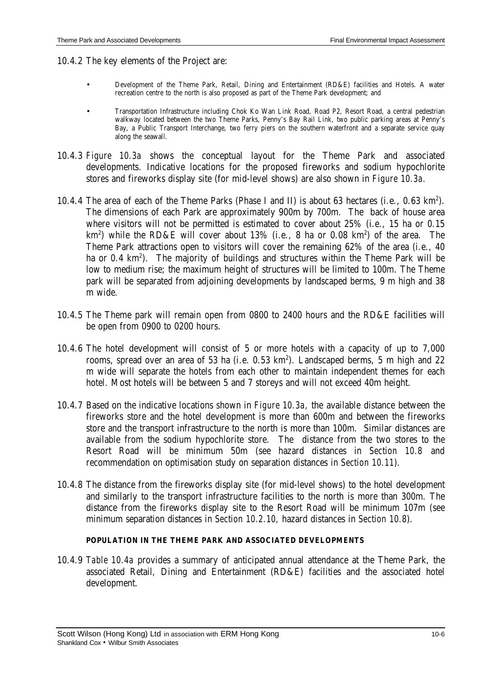10.4.2 The key elements of the Project are:

- Development of the Theme Park, Retail, Dining and Entertainment (RD&E) facilities and Hotels. A water recreation centre to the north is also proposed as part of the Theme Park development; and
- Transportation Infrastructure including Chok Ko Wan Link Road, Road P2, Resort Road, a central pedestrian walkway located between the two Theme Parks, Penny's Bay Rail Link, two public parking areas at Penny's Bay, a Public Transport Interchange, two ferry piers on the southern waterfront and a separate service quay along the seawall.
- 10.4.3 *Figure 10.3a* shows the conceptual layout for the Theme Park and associated developments. Indicative locations for the proposed fireworks and sodium hypochlorite stores and fireworks display site (for mid-level shows) are also shown in *Figure 10.3a.*
- 10.4.4 The area of each of the Theme Parks (Phase I and II) is about 63 hectares (i.e., 0.63 km<sup>2</sup>). The dimensions of each Park are approximately 900m by 700m. The back of house area where visitors will not be permitted is estimated to cover about 25% (i.e., 15 ha or 0.15 km<sup>2</sup>) while the RD&E will cover about 13% (i.e., 8 ha or 0.08 km<sup>2</sup>) of the area. The Theme Park attractions open to visitors will cover the remaining 62% of the area (i.e., 40 ha or 0.4 km<sup>2</sup>). The majority of buildings and structures within the Theme Park will be low to medium rise; the maximum height of structures will be limited to 100m. The Theme park will be separated from adjoining developments by landscaped berms, 9 m high and 38 m wide.
- 10.4.5 The Theme park will remain open from 0800 to 2400 hours and the RD&E facilities will be open from 0900 to 0200 hours.
- 10.4.6 The hotel development will consist of 5 or more hotels with a capacity of up to 7,000 rooms, spread over an area of 53 ha (i.e. 0.53 km<sup>2</sup>). Landscaped berms, 5 m high and 22 m wide will separate the hotels from each other to maintain independent themes for each hotel. Most hotels will be between 5 and 7 storeys and will not exceed 40m height.
- 10.4.7 Based on the indicative locations shown in *Figure 10.3a*, the available distance between the fireworks store and the hotel development is more than 600m and between the fireworks store and the transport infrastructure to the north is more than 100m. Similar distances are available from the sodium hypochlorite store. The distance from the two stores to the Resort Road will be minimum 50m (see hazard distances in *Section 10.8* and recommendation on optimisation study on separation distances in *Section 10.11*).
- 10.4.8 The distance from the fireworks display site (for mid-level shows) to the hotel development and similarly to the transport infrastructure facilities to the north is more than 300m. The distance from the fireworks display site to the Resort Road will be minimum 107m (see minimum separation distances in *Section 10.2.10,* hazard distances in *Section 10.8*).

#### **POPULATION IN THE THEME PARK AND ASSOCIATED DEVELOPMENTS**

10.4.9 *Table 10.4a* provides a summary of anticipated annual attendance at the Theme Park, the associated Retail, Dining and Entertainment (RD&E) facilities and the associated hotel development.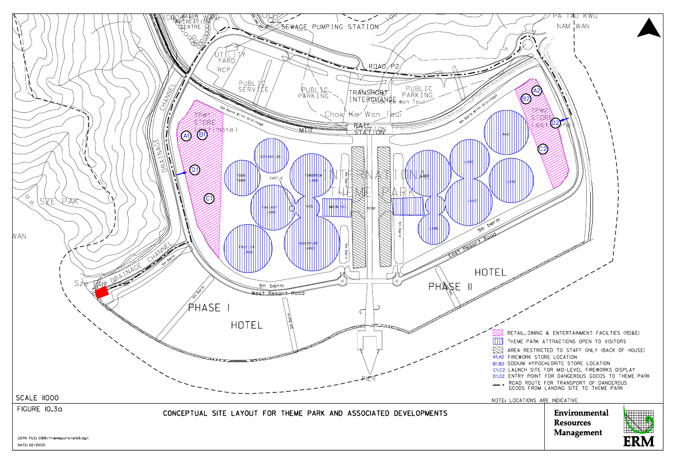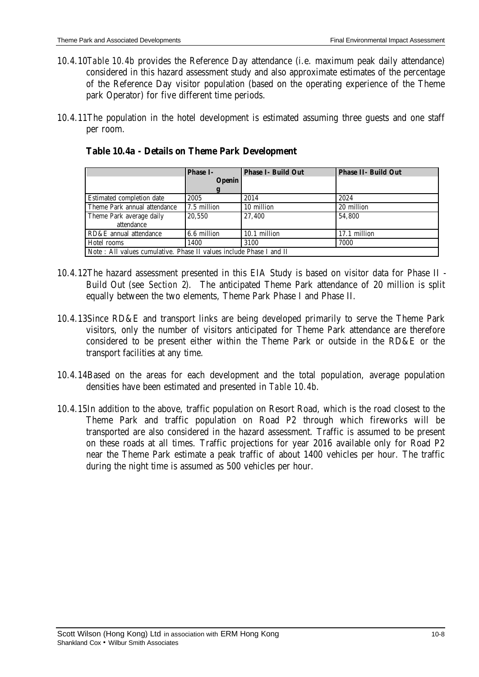- 10.4.10 *Table 10.4b* provides the Reference Day attendance (i.e. maximum peak daily attendance) considered in this hazard assessment study and also approximate estimates of the percentage of the Reference Day visitor population (based on the operating experience of the Theme park Operator) for five different time periods.
- 10.4.11 The population in the hotel development is estimated assuming three guests and one staff per room.

|                                                                     | <b>Phase I-</b> | <b>Phase I- Build Out</b> | <b>Phase II- Build Out</b> |  |  |  |
|---------------------------------------------------------------------|-----------------|---------------------------|----------------------------|--|--|--|
|                                                                     | <b>Openin</b>   |                           |                            |  |  |  |
|                                                                     |                 |                           |                            |  |  |  |
| <b>Estimated completion date</b>                                    | 2005            | 2014                      | 2024                       |  |  |  |
| Theme Park annual attendance                                        | 7.5 million     | 10 million                | 20 million                 |  |  |  |
| Theme Park average daily                                            | 20,550          | 27.400                    | 54.800                     |  |  |  |
| attendance                                                          |                 |                           |                            |  |  |  |
| RD&E annual attendance                                              | 6.6 million     | 10.1 million              | 17.1 million               |  |  |  |
| Hotel rooms                                                         | 1400            | 3100                      | 7000                       |  |  |  |
| Note: All values cumulative. Phase II values include Phase I and II |                 |                           |                            |  |  |  |

**Table 10.4a - Details on Theme Park Development**

- 10.4.12 The hazard assessment presented in this EIA Study is based on visitor data for Phase II Build Out (see *Section 2*). The anticipated Theme Park attendance of 20 million is split equally between the two elements, Theme Park Phase I and Phase II.
- 10.4.13 Since RD&E and transport links are being developed primarily to serve the Theme Park visitors, only the number of visitors anticipated for Theme Park attendance are therefore considered to be present either within the Theme Park or outside in the RD&E or the transport facilities at any time.
- 10.4.14 Based on the areas for each development and the total population, average population densities have been estimated and presented in *Table 10.4b*.
- 10.4.15 In addition to the above, traffic population on Resort Road, which is the road closest to the Theme Park and traffic population on Road P2 through which fireworks will be transported are also considered in the hazard assessment. Traffic is assumed to be present on these roads at all times. Traffic projections for year 2016 available only for Road P2 near the Theme Park estimate a peak traffic of about 1400 vehicles per hour. The traffic during the night time is assumed as 500 vehicles per hour.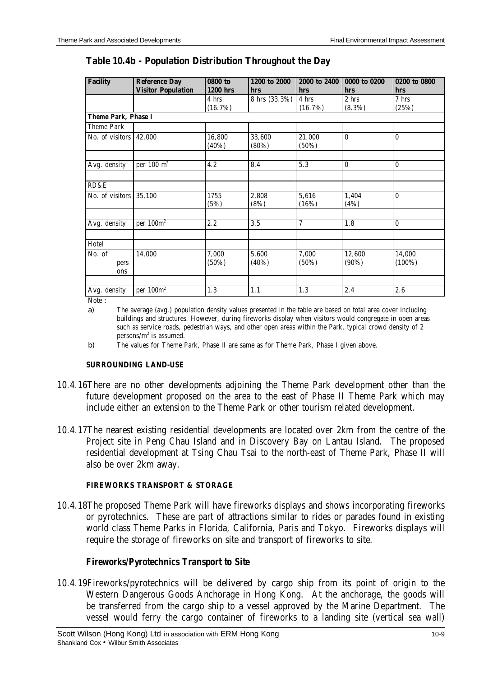| <b>Facility</b>            | <b>Reference Day</b><br><b>Visitor Population</b> | 0800 to<br><b>1200 hrs</b> | 1200 to 2000<br>hrs | 2000 to 2400<br>hrs | 0000 to 0200<br>hrs | 0200 to 0800<br>hrs |
|----------------------------|---------------------------------------------------|----------------------------|---------------------|---------------------|---------------------|---------------------|
|                            |                                                   | 4 hrs                      | 8 hrs (33.3%)       | 4 hrs               | 2 hrs               | 7 hrs               |
|                            |                                                   | (16.7%)                    |                     | (16.7%)             | $(8.3\%)$           | (25%)               |
| <b>Theme Park, Phase I</b> |                                                   |                            |                     |                     |                     |                     |
| <b>Theme Park</b>          |                                                   |                            |                     |                     |                     |                     |
| No. of visitors            | 42,000                                            | 16,800<br>$(40\%)$         | 33,600<br>$(80\%)$  | 21,000<br>(50%)     | $\bf{0}$            | $\theta$            |
|                            |                                                   |                            |                     |                     |                     |                     |
| Avg. density               | per $100 \text{ m}^2$                             | 4.2                        | 8.4                 | 5.3                 | $\bf{0}$            | $\boldsymbol{0}$    |
|                            |                                                   |                            |                     |                     |                     |                     |
| RD&E                       |                                                   |                            |                     |                     |                     |                     |
| No. of visitors            | 35,100                                            | 1755<br>(5%)               | 2,808<br>(8%)       | 5,616<br>(16%)      | 1,404<br>(4%)       | $\theta$            |
|                            |                                                   |                            |                     |                     |                     |                     |
| Avg. density               | per $100m^2$                                      | 2.2                        | 3.5                 | 7                   | 1.8                 | $\theta$            |
|                            |                                                   |                            |                     |                     |                     |                     |
| Hotel                      |                                                   |                            |                     |                     |                     |                     |
| No. of<br>pers<br>ons      | 14,000                                            | 7,000<br>(50%)             | 5,600<br>$(40\%)$   | 7,000<br>(50%)      | 12,600<br>$(90\%)$  | 14,000<br>$(100\%)$ |
|                            |                                                   |                            |                     |                     |                     |                     |
| Avg. density               | per $100m^2$                                      | 1.3                        | 1.1                 | 1.3                 | 2.4                 | 2.6                 |

**Table 10.4b - Population Distribution Throughout the Day**

Note:

a) The average (avg.) population density values presented in the table are based on total area cover including buildings and structures. However, during fireworks display when visitors would congregate in open areas such as service roads, pedestrian ways, and other open areas within the Park, typical crowd density of 2  $persons/m<sup>2</sup>$  is assumed.

b) The values for Theme Park, Phase II are same as for Theme Park, Phase I given above.

#### **SURROUNDING LAND-USE**

- 10.4.16 There are no other developments adjoining the Theme Park development other than the future development proposed on the area to the east of Phase II Theme Park which may include either an extension to the Theme Park or other tourism related development.
- 10.4.17 The nearest existing residential developments are located over 2km from the centre of the Project site in Peng Chau Island and in Discovery Bay on Lantau Island. The proposed residential development at Tsing Chau Tsai to the north-east of Theme Park, Phase II will also be over 2km away.

#### **FIREWORKS TRANSPORT & STORAGE**

10.4.18 The proposed Theme Park will have fireworks displays and shows incorporating fireworks or pyrotechnics. These are part of attractions similar to rides or parades found in existing world class Theme Parks in Florida, California, Paris and Tokyo. Fireworks displays will require the storage of fireworks on site and transport of fireworks to site.

### *Fireworks/Pyrotechnics Transport to Site*

10.4.19 Fireworks/pyrotechnics will be delivered by cargo ship from its point of origin to the Western Dangerous Goods Anchorage in Hong Kong. At the anchorage, the goods will be transferred from the cargo ship to a vessel approved by the Marine Department. The vessel would ferry the cargo container of fireworks to a landing site (vertical sea wall)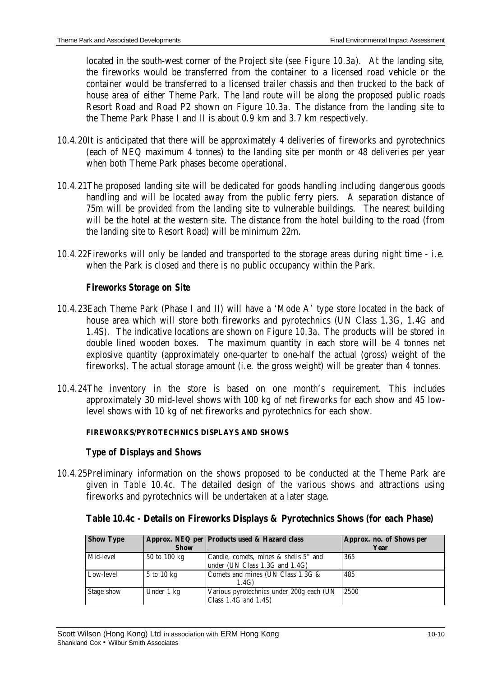located in the south-west corner of the Project site (see *Figure 10.3a*). At the landing site, the fireworks would be transferred from the container to a licensed road vehicle or the container would be transferred to a licensed trailer chassis and then trucked to the back of house area of either Theme Park. The land route will be along the proposed public roads Resort Road and Road P2 shown on *Figure 10.3a*. The distance from the landing site to the Theme Park Phase I and II is about 0.9 km and 3.7 km respectively.

- 10.4.20 It is anticipated that there will be approximately 4 deliveries of fireworks and pyrotechnics (each of NEQ maximum 4 tonnes) to the landing site per month or 48 deliveries per year when both Theme Park phases become operational.
- 10.4.21 The proposed landing site will be dedicated for goods handling including dangerous goods handling and will be located away from the public ferry piers. A separation distance of 75m will be provided from the landing site to vulnerable buildings. The nearest building will be the hotel at the western site. The distance from the hotel building to the road (from the landing site to Resort Road) will be minimum 22m.
- 10.4.22 Fireworks will only be landed and transported to the storage areas during night time i.e. when the Park is closed and there is no public occupancy within the Park.

# *Fireworks Storage on Site*

- 10.4.23 Each Theme Park (Phase I and II) will have a 'Mode A' type store located in the back of house area which will store both fireworks and pyrotechnics (UN Class 1.3G, 1.4G and 1.4S). The indicative locations are shown on *Figure 10.3a*. The products will be stored in double lined wooden boxes. The maximum quantity in each store will be 4 tonnes net explosive quantity (approximately one-quarter to one-half the actual (gross) weight of the fireworks). The actual storage amount (i.e. the gross weight) will be greater than 4 tonnes.
- 10.4.24 The inventory in the store is based on one month's requirement. This includes approximately 30 mid-level shows with 100 kg of net fireworks for each show and 45 lowlevel shows with 10 kg of net fireworks and pyrotechnics for each show.

### **FIREWORKS/PYROTECHNICS DISPLAYS AND SHOWS**

### *Type of Displays and Shows*

10.4.25 Preliminary information on the shows proposed to be conducted at the Theme Park are given in *Table 10.4c.* The detailed design of the various shows and attractions using fireworks and pyrotechnics will be undertaken at a later stage.

| <b>Show Type</b> | <b>Show</b>  | Approx. NEQ per   Products used & Hazard class                          | Approx. no. of Shows per<br>Year |
|------------------|--------------|-------------------------------------------------------------------------|----------------------------------|
| Mid-level        | 50 to 100 kg | Candle, comets, mines & shells 5" and<br>under (UN Class 1.3G and 1.4G) | 365                              |
| Low-level        | 5 to 10 kg   | Comets and mines (UN Class 1.3G &<br>1.4G)                              | 485                              |
| Stage show       | Under 1 kg   | Various pyrotechnics under 200g each (UN<br>Class $1.4G$ and $1.4S$ )   | 2500                             |

### **Table 10.4c - Details on Fireworks Displays & Pyrotechnics Shows (for each Phase)**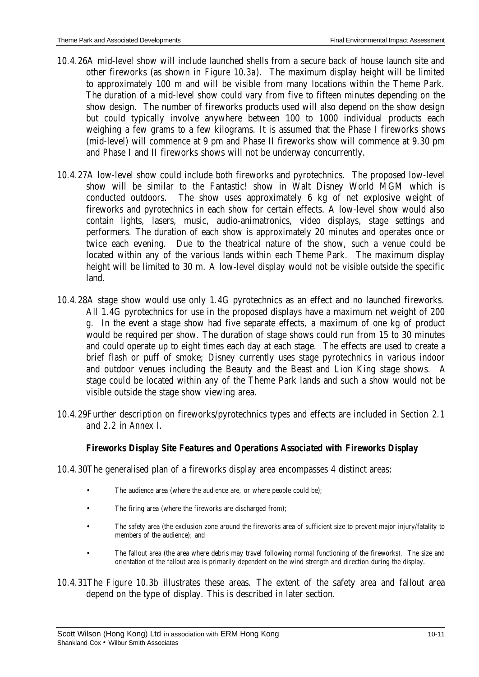- 10.4.26 A mid-level show will include launched shells from a secure back of house launch site and other fireworks (as shown in *Figure 10.3a*). The maximum display height will be limited to approximately 100 m and will be visible from many locations within the Theme Park. The duration of a mid-level show could vary from five to fifteen minutes depending on the show design. The number of fireworks products used will also depend on the show design but could typically involve anywhere between 100 to 1000 individual products each weighing a few grams to a few kilograms. It is assumed that the Phase I fireworks shows (mid-level) will commence at 9 pm and Phase II fireworks show will commence at 9.30 pm and Phase I and II fireworks shows will not be underway concurrently.
- 10.4.27 A low-level show could include both fireworks and pyrotechnics. The proposed low-level show will be similar to the Fantastic! show in Walt Disney World MGM which is conducted outdoors. The show uses approximately 6 kg of net explosive weight of fireworks and pyrotechnics in each show for certain effects. A low-level show would also contain lights, lasers, music, audio-animatronics, video displays, stage settings and performers. The duration of each show is approximately 20 minutes and operates once or twice each evening. Due to the theatrical nature of the show, such a venue could be located within any of the various lands within each Theme Park. The maximum display height will be limited to 30 m. A low-level display would not be visible outside the specific land.
- 10.4.28A stage show would use only 1.4G pyrotechnics as an effect and no launched fireworks. All 1.4G pyrotechnics for use in the proposed displays have a maximum net weight of 200 g. In the event a stage show had five separate effects, a maximum of one kg of product would be required per show. The duration of stage shows could run from 15 to 30 minutes and could operate up to eight times each day at each stage. The effects are used to create a brief flash or puff of smoke; Disney currently uses stage pyrotechnics in various indoor and outdoor venues including the Beauty and the Beast and Lion King stage shows. A stage could be located within any of the Theme Park lands and such a show would not be visible outside the stage show viewing area.
- 10.4.29 Further description on fireworks/pyrotechnics types and effects are included in *Section 2.1 and 2.2* in *Annex I.*

# *Fireworks Display Site Features and Operations Associated with Fireworks Display*

- 10.4.30 The generalised plan of a fireworks display area encompasses 4 distinct areas:
	- The audience area (where the audience are, or where people could be);
	- The firing area (where the fireworks are discharged from);
	- The safety area (the exclusion zone around the fireworks area of sufficient size to prevent major injury/fatality to members of the audience); and
	- The fallout area (the area where debris may travel following normal functioning of the fireworks). The size and orientation of the fallout area is primarily dependent on the wind strength and direction during the display.
- 10.4.31 The *Figure 10.3b* illustrates these areas. The extent of the safety area and fallout area depend on the type of display. This is described in later section.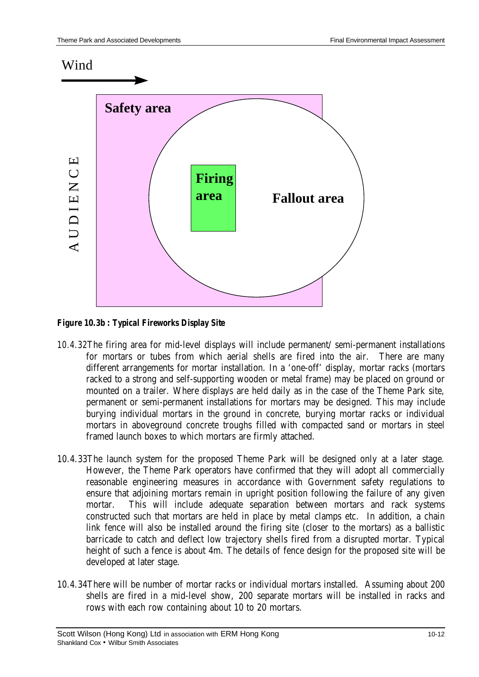# Wind



*Figure 10.3b : Typical Fireworks Display Site*

- 10.4.32 The firing area for mid-level displays will include permanent/ semi-permanent installations for mortars or tubes from which aerial shells are fired into the air. There are many different arrangements for mortar installation. In a 'one-off' display, mortar racks (mortars racked to a strong and self-supporting wooden or metal frame) may be placed on ground or mounted on a trailer. Where displays are held daily as in the case of the Theme Park site, permanent or semi-permanent installations for mortars may be designed. This may include burying individual mortars in the ground in concrete, burying mortar racks or individual mortars in aboveground concrete troughs filled with compacted sand or mortars in steel framed launch boxes to which mortars are firmly attached.
- 10.4.33 The launch system for the proposed Theme Park will be designed only at a later stage. However, the Theme Park operators have confirmed that they will adopt all commercially reasonable engineering measures in accordance with Government safety regulations to ensure that adjoining mortars remain in upright position following the failure of any given mortar. This will include adequate separation between mortars and rack systems constructed such that mortars are held in place by metal clamps etc. In addition, a chain link fence will also be installed around the firing site (closer to the mortars) as a ballistic barricade to catch and deflect low trajectory shells fired from a disrupted mortar. Typical height of such a fence is about 4m. The details of fence design for the proposed site will be developed at later stage.
- 10.4.34 There will be number of mortar racks or individual mortars installed. Assuming about 200 shells are fired in a mid-level show, 200 separate mortars will be installed in racks and rows with each row containing about 10 to 20 mortars.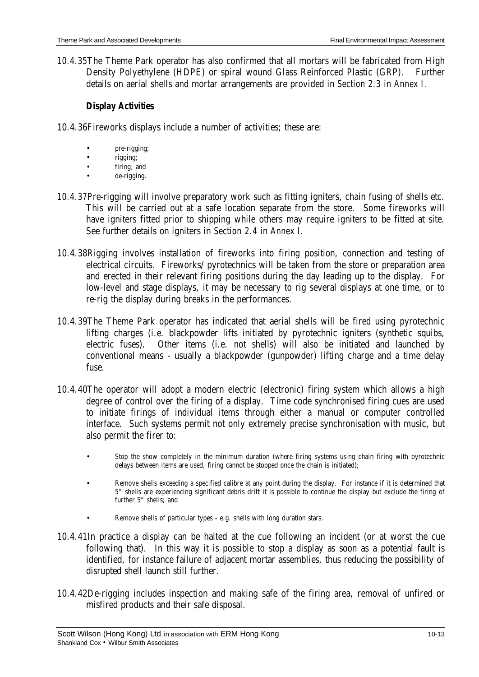*10.4.35* The Theme Park operator has also confirmed that all mortars will be fabricated from High Density Polyethylene (HDPE) or spiral wound Glass Reinforced Plastic (GRP). Further details on aerial shells and mortar arrangements are provided in *Section 2.3* in *Annex I.*

# *Display Activities*

- 10.4.36 Fireworks displays include a number of activities; these are:
	- pre-rigging;
	- rigging;
	- firing; and de-rigging.
- 10.4.37 Pre-rigging will involve preparatory work such as fitting igniters, chain fusing of shells etc. This will be carried out at a safe location separate from the store. Some fireworks will have igniters fitted prior to shipping while others may require igniters to be fitted at site. See further details on igniters in *Section 2.4* in *Annex I.*
- 10.4.38 Rigging involves installation of fireworks into firing position, connection and testing of electrical circuits. Fireworks/ pyrotechnics will be taken from the store or preparation area and erected in their relevant firing positions during the day leading up to the display. For low-level and stage displays, it may be necessary to rig several displays at one time, or to re-rig the display during breaks in the performances.
- 10.4.39 The Theme Park operator has indicated that aerial shells will be fired using pyrotechnic lifting charges (i.e. blackpowder lifts initiated by pyrotechnic igniters (synthetic squibs, electric fuses). Other items (i.e. not shells) will also be initiated and launched by conventional means - usually a blackpowder (gunpowder) lifting charge and a time delay fuse.
- 10.4.40 The operator will adopt a modern electric (electronic) firing system which allows a high degree of control over the firing of a display. Time code synchronised firing cues are used to initiate firings of individual items through either a manual or computer controlled interface. Such systems permit not only extremely precise synchronisation with music, but also permit the firer to:
	- Stop the show completely in the minimum duration (where firing systems using chain firing with pyrotechnic delays between items are used, firing cannot be stopped once the chain is initiated);
	- Remove shells exceeding a specified calibre at any point during the display. For instance if it is determined that 5" shells are experiencing significant debris drift it is possible to continue the display but exclude the firing of further 5" shells; and
	- Remove shells of particular types e.g. shells with long duration stars.
- 10.4.41 In practice a display can be halted at the cue following an incident (or at worst the cue following that). In this way it is possible to stop a display as soon as a potential fault is identified, for instance failure of adjacent mortar assemblies, thus reducing the possibility of disrupted shell launch still further.
- 10.4.42 De-rigging includes inspection and making safe of the firing area, removal of unfired or misfired products and their safe disposal.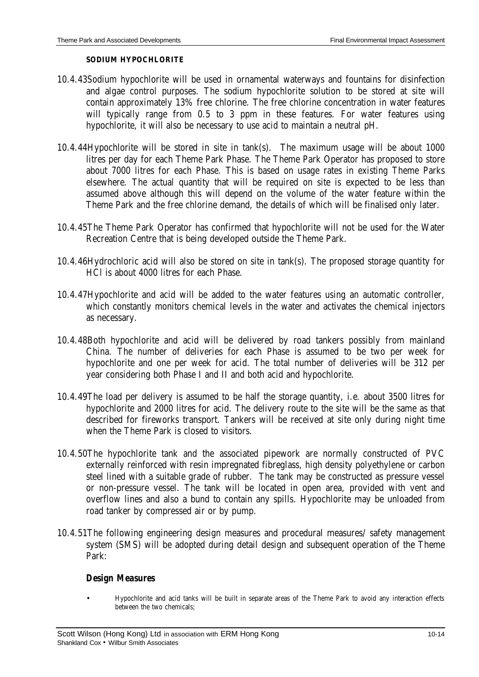#### **SODIUM HYPOCHLORITE**

- 10.4.43 Sodium hypochlorite will be used in ornamental waterways and fountains for disinfection and algae control purposes. The sodium hypochlorite solution to be stored at site will contain approximately 13% free chlorine. The free chlorine concentration in water features will typically range from 0.5 to 3 ppm in these features. For water features using hypochlorite, it will also be necessary to use acid to maintain a neutral pH.
- 10.4.44 Hypochlorite will be stored in site in tank(s). The maximum usage will be about 1000 litres per day for each Theme Park Phase. The Theme Park Operator has proposed to store about 7000 litres for each Phase. This is based on usage rates in existing Theme Parks elsewhere. The actual quantity that will be required on site is expected to be less than assumed above although this will depend on the volume of the water feature within the Theme Park and the free chlorine demand, the details of which will be finalised only later.
- 10.4.45 The Theme Park Operator has confirmed that hypochlorite will not be used for the Water Recreation Centre that is being developed outside the Theme Park.
- 10.4.46 Hydrochloric acid will also be stored on site in tank(s). The proposed storage quantity for HCl is about 4000 litres for each Phase.
- 10.4.47 Hypochlorite and acid will be added to the water features using an automatic controller, which constantly monitors chemical levels in the water and activates the chemical injectors as necessary.
- 10.4.48 Both hypochlorite and acid will be delivered by road tankers possibly from mainland China. The number of deliveries for each Phase is assumed to be two per week for hypochlorite and one per week for acid. The total number of deliveries will be 312 per year considering both Phase I and II and both acid and hypochlorite.
- 10.4.49 The load per delivery is assumed to be half the storage quantity, i.e. about 3500 litres for hypochlorite and 2000 litres for acid. The delivery route to the site will be the same as that described for fireworks transport. Tankers will be received at site only during night time when the Theme Park is closed to visitors.
- 10.4.50 The hypochlorite tank and the associated pipework are normally constructed of PVC externally reinforced with resin impregnated fibreglass, high density polyethylene or carbon steel lined with a suitable grade of rubber. The tank may be constructed as pressure vessel or non-pressure vessel. The tank will be located in open area, provided with vent and overflow lines and also a bund to contain any spills. Hypochlorite may be unloaded from road tanker by compressed air or by pump.
- 10.4.51 The following engineering design measures and procedural measures/ safety management system (SMS) will be adopted during detail design and subsequent operation of the Theme Park:

### *Design Measures*

• Hypochlorite and acid tanks will be built in separate areas of the Theme Park to avoid any interaction effects between the two chemicals;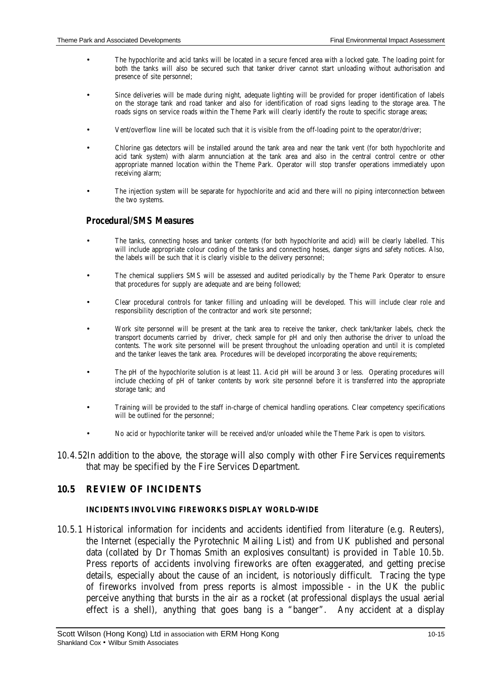- The hypochlorite and acid tanks will be located in a secure fenced area with a locked gate. The loading point for both the tanks will also be secured such that tanker driver cannot start unloading without authorisation and presence of site personnel;
- Since deliveries will be made during night, adequate lighting will be provided for proper identification of labels on the storage tank and road tanker and also for identification of road signs leading to the storage area. The roads signs on service roads within the Theme Park will clearly identify the route to specific storage areas;
- Vent/overflow line will be located such that it is visible from the off-loading point to the operator/driver;
- Chlorine gas detectors will be installed around the tank area and near the tank vent (for both hypochlorite and acid tank system) with alarm annunciation at the tank area and also in the central control centre or other appropriate manned location within the Theme Park. Operator will stop transfer operations immediately upon receiving alarm;
- The injection system will be separate for hypochlorite and acid and there will no piping interconnection between the two systems.

#### *Procedural/SMS Measures*

- The tanks, connecting hoses and tanker contents (for both hypochlorite and acid) will be clearly labelled. This will include appropriate colour coding of the tanks and connecting hoses, danger signs and safety notices. Also, the labels will be such that it is clearly visible to the delivery personnel;
- The chemical suppliers SMS will be assessed and audited periodically by the Theme Park Operator to ensure that procedures for supply are adequate and are being followed;
- Clear procedural controls for tanker filling and unloading will be developed. This will include clear role and responsibility description of the contractor and work site personnel;
- Work site personnel will be present at the tank area to receive the tanker, check tank/tanker labels, check the transport documents carried by driver, check sample for pH and only then authorise the driver to unload the contents. The work site personnel will be present throughout the unloading operation and until it is completed and the tanker leaves the tank area. Procedures will be developed incorporating the above requirements;
- The pH of the hypochlorite solution is at least 11. Acid pH will be around 3 or less. Operating procedures will include checking of pH of tanker contents by work site personnel before it is transferred into the appropriate storage tank; and
- Training will be provided to the staff in-charge of chemical handling operations. Clear competency specifications will be outlined for the personnel;
- No acid or hypochlorite tanker will be received and/or unloaded while the Theme Park is open to visitors.
- 10.4.52 In addition to the above, the storage will also comply with other Fire Services requirements that may be specified by the Fire Services Department.

#### **10.5 REVIEW OF INCIDENTS**

#### **INCIDENTS INVOLVING FIREWORKS DISPLAY WORLD-WIDE**

10.5.1 Historical information for incidents and accidents identified from literature (e.g. Reuters), the Internet (especially the Pyrotechnic Mailing List) and from UK published and personal data (collated by Dr Thomas Smith an explosives consultant) is provided in *Table 10.5b.* Press reports of accidents involving fireworks are often exaggerated, and getting precise details, especially about the cause of an incident, is notoriously difficult. Tracing the type of fireworks involved from press reports is almost impossible - in the UK the public perceive anything that bursts in the air as a rocket (at professional displays the usual aerial effect is a shell), anything that goes bang is a "banger". Any accident at a display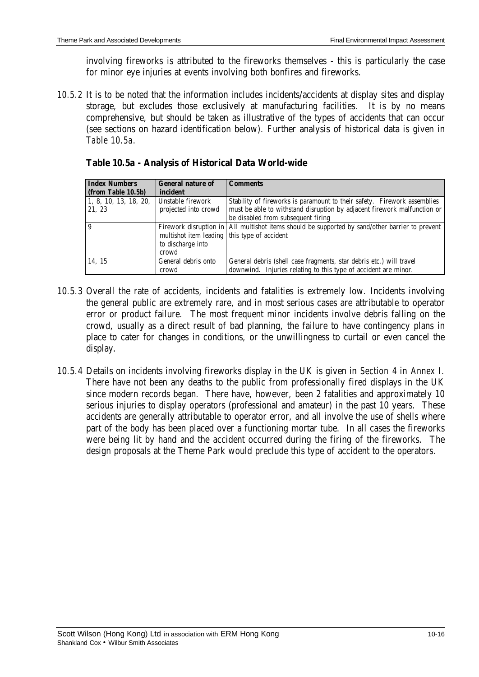involving fireworks is attributed to the fireworks themselves - this is particularly the case for minor eye injuries at events involving both bonfires and fireworks.

*10.5.2* It is to be noted that the information includes incidents/accidents at display sites and display storage, but excludes those exclusively at manufacturing facilities. It is by no means comprehensive, but should be taken as illustrative of the types of accidents that can occur (see sections on hazard identification below). Further analysis of historical data is given in *Table 10.5a.*

| <b>Index Numbers</b>  | <b>General nature of</b>                     | <b>Comments</b>                                                                                 |
|-----------------------|----------------------------------------------|-------------------------------------------------------------------------------------------------|
| (from Table 10.5b)    | incident                                     |                                                                                                 |
| 1, 8, 10, 13, 18, 20, | Unstable firework                            | Stability of fireworks is paramount to their safety. Firework assemblies                        |
| 21, 23                | projected into crowd                         | must be able to withstand disruption by adjacent firework malfunction or                        |
|                       |                                              | be disabled from subsequent firing                                                              |
| 9                     |                                              | Firework disruption in All multishot items should be supported by sand/other barrier to prevent |
|                       | multishot item leading this type of accident |                                                                                                 |
|                       | to discharge into                            |                                                                                                 |
|                       | crowd                                        |                                                                                                 |
| 14.15                 | General debris onto                          | General debris (shell case fragments, star debris etc.) will travel                             |
|                       | crowd                                        | downwind. Injuries relating to this type of accident are minor.                                 |

|  |  | Table 10.5a - Analysis of Historical Data World-wide |  |  |
|--|--|------------------------------------------------------|--|--|
|--|--|------------------------------------------------------|--|--|

- 10.5.3 Overall the rate of accidents, incidents and fatalities is extremely low. Incidents involving the general public are extremely rare, and in most serious cases are attributable to operator error or product failure. The most frequent minor incidents involve debris falling on the crowd, usually as a direct result of bad planning, the failure to have contingency plans in place to cater for changes in conditions, or the unwillingness to curtail or even cancel the display.
- 10.5.4 Details on incidents involving fireworks display in the UK is given in *Section 4* in *Annex I.* There have not been any deaths to the public from professionally fired displays in the UK since modern records began. There have, however, been 2 fatalities and approximately 10 serious injuries to display operators (professional and amateur) in the past 10 years. These accidents are generally attributable to operator error, and all involve the use of shells where part of the body has been placed over a functioning mortar tube. In all cases the fireworks were being lit by hand and the accident occurred during the firing of the fireworks. The design proposals at the Theme Park would preclude this type of accident to the operators.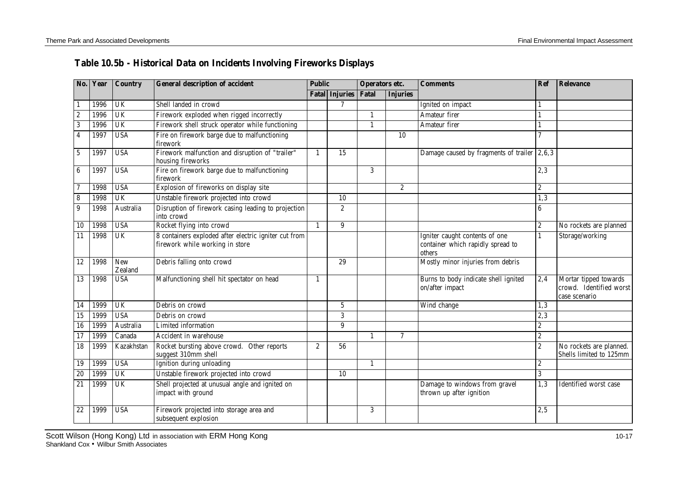| No.                     | Year | <b>Country</b>        | <b>General description of accident</b>                                                   | <b>Public</b>    |                       | Operators etc. |                       | <b>Comments</b>                                                               | Ref              | <b>Relevance</b>                                                  |
|-------------------------|------|-----------------------|------------------------------------------------------------------------------------------|------------------|-----------------------|----------------|-----------------------|-------------------------------------------------------------------------------|------------------|-------------------------------------------------------------------|
|                         |      |                       |                                                                                          |                  | <b>Fatal Injuries</b> | <b>Fatal</b>   | <b>Injuries</b>       |                                                                               |                  |                                                                   |
| -1                      | 1996 | UK                    | Shell landed in crowd                                                                    |                  | 7                     |                |                       | Ignited on impact                                                             |                  |                                                                   |
| $\overline{2}$          | 1996 | <b>UK</b>             | Firework exploded when rigged incorrectly                                                |                  |                       | $\mathbf{1}$   |                       | Amateur firer                                                                 |                  |                                                                   |
| $\overline{3}$          | 1996 | UK                    | Firework shell struck operator while functioning                                         |                  |                       |                |                       | <b>Amateur firer</b>                                                          |                  |                                                                   |
| $\overline{4}$          | 1997 | <b>USA</b>            | Fire on firework barge due to malfunctioning<br>firework                                 |                  |                       |                | 10                    |                                                                               | $\mathcal I$     |                                                                   |
| $\overline{5}$          | 1997 | <b>USA</b>            | Firework malfunction and disruption of "trailer"<br>housing fireworks                    | 1                | 15                    |                |                       | Damage caused by fragments of trailer $\left 2,6,3\right\rangle$              |                  |                                                                   |
| $\boldsymbol{6}$        | 1997 | <b>USA</b>            | Fire on firework barge due to malfunctioning<br>firework                                 |                  |                       | 3              |                       |                                                                               | 2,3              |                                                                   |
| $\overline{7}$          | 1998 | <b>USA</b>            | Explosion of fireworks on display site                                                   |                  |                       |                | $\mathbf{2}^{\prime}$ |                                                                               | $\mathbf{2}$     |                                                                   |
| $\overline{\mathbf{8}}$ | 1998 | <b>UK</b>             | Unstable firework projected into crowd                                                   |                  | 10                    |                |                       |                                                                               | 1,3              |                                                                   |
| $\overline{9}$          | 1998 | Australia             | Disruption of firework casing leading to projection<br>into crowd                        |                  | $\boldsymbol{2}$      |                |                       |                                                                               | 6                |                                                                   |
| 10                      | 1998 | <b>USA</b>            | Rocket flying into crowd                                                                 | 1                | 9                     |                |                       |                                                                               | $\boldsymbol{2}$ | No rockets are planned                                            |
| $\overline{11}$         | 1998 | $\overline{UK}$       | 8 containers exploded after electric igniter cut from<br>firework while working in store |                  |                       |                |                       | Igniter caught contents of one<br>container which rapidly spread to<br>others | $\mathbf{1}$     | Storage/working                                                   |
| $\overline{12}$         | 1998 | <b>New</b><br>Zealand | Debris falling onto crowd                                                                |                  | 29                    |                |                       | Mostly minor injuries from debris                                             |                  |                                                                   |
| 13                      | 1998 | <b>USA</b>            | Malfunctioning shell hit spectator on head                                               | 1                |                       |                |                       | Burns to body indicate shell ignited<br>on/after impact                       | 2,4              | Mortar tipped towards<br>crowd. Identified worst<br>case scenario |
| 14                      | 1999 | $\overline{UK}$       | Debris on crowd                                                                          |                  | 5                     |                |                       | Wind change                                                                   | 1,3              |                                                                   |
| $\overline{15}$         | 1999 | <b>USA</b>            | Debris on crowd                                                                          |                  | 3                     |                |                       |                                                                               | 2,3              |                                                                   |
| $\overline{16}$         | 1999 | Australia             | Limited information                                                                      |                  | 9                     |                |                       |                                                                               | $\mathbf{2}$     |                                                                   |
| 17                      | 1999 | Canada                | Accident in warehouse                                                                    |                  |                       | 1              | $\tau$                |                                                                               | $\boldsymbol{2}$ |                                                                   |
| 18                      | 1999 | Kazakhstan            | Rocket bursting above crowd. Other reports<br>suggest 310mm shell                        | $\boldsymbol{2}$ | 56                    |                |                       |                                                                               | $\boldsymbol{2}$ | No rockets are planned.<br>Shells limited to 125mm                |
| 19                      | 1999 | <b>USA</b>            | Ignition during unloading                                                                |                  |                       | 1              |                       |                                                                               | $\boldsymbol{2}$ |                                                                   |
| 20                      | 1999 | UK                    | Unstable firework projected into crowd                                                   |                  | 10                    |                |                       |                                                                               | 3                |                                                                   |
| 21                      | 1999 | $\overline{UK}$       | Shell projected at unusual angle and ignited on<br>impact with ground                    |                  |                       |                |                       | Damage to windows from gravel<br>thrown up after ignition                     | 1,3              | Identified worst case                                             |
| $\overline{22}$         | 1999 | <b>USA</b>            | Firework projected into storage area and<br>subsequent explosion                         |                  |                       | 3              |                       |                                                                               | 2,5              |                                                                   |

# **Table 10.5b - Historical Data on Incidents Involving Fireworks Displays**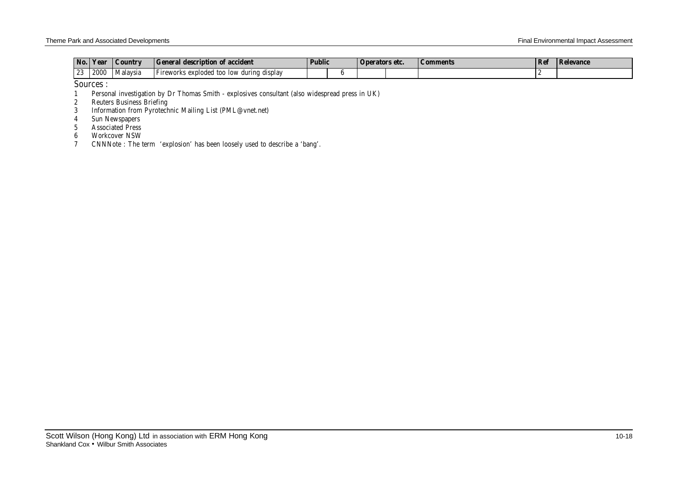| No. | $\mathbf{Y}$ ear | Country  | l General description of accident                    | <i>Public</i> | <b>Operators etc.</b> | Comments | Re | <b>Relevance</b> |
|-----|------------------|----------|------------------------------------------------------|---------------|-----------------------|----------|----|------------------|
| 23  | 2000             | Malavsia | during display<br>Fireworks<br>too low<br>: exploded |               |                       |          |    |                  |

Sources :

1 Personal investigation by Dr Thomas Smith - explosives consultant (also widespread press in UK)

2 Reuters Business Briefing<br>3 Information from Pyrotech

3 Information from Pyrotechnic Mailing List (PML@vnet.net)

4 Sun Newspapers

5 Associated Press<br>6 Workcover NSW

Workcover NSW

7 CNNNote : The term 'explosion' has been loosely used to describe a 'bang'.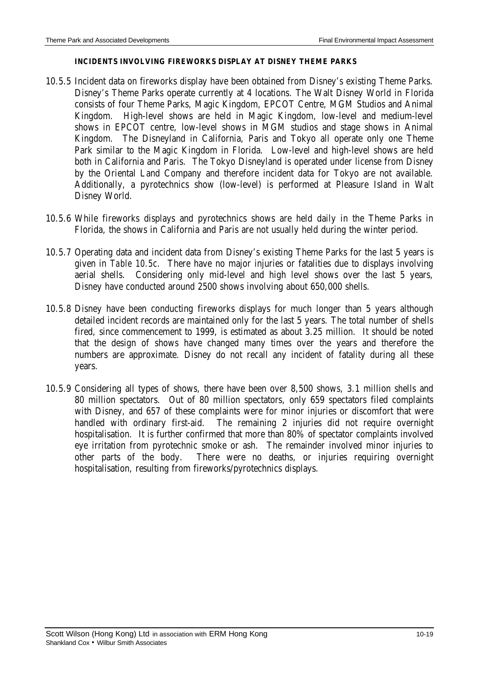#### **INCIDENTS INVOLVING FIREWORKS DISPLAY AT DISNEY THEME PARKS**

- 10.5.5 Incident data on fireworks display have been obtained from Disney's existing Theme Parks. Disney's Theme Parks operate currently at 4 locations. The Walt Disney World in Florida consists of four Theme Parks, Magic Kingdom, EPCOT Centre, MGM Studios and Animal Kingdom. High-level shows are held in Magic Kingdom, low-level and medium-level shows in EPCOT centre, low-level shows in MGM studios and stage shows in Animal Kingdom. The Disneyland in California, Paris and Tokyo all operate only one Theme Park similar to the Magic Kingdom in Florida. Low-level and high-level shows are held both in California and Paris. The Tokyo Disneyland is operated under license from Disney by the Oriental Land Company and therefore incident data for Tokyo are not available. Additionally, a pyrotechnics show (low-level) is performed at Pleasure Island in Walt Disney World.
- 10.5.6 While fireworks displays and pyrotechnics shows are held daily in the Theme Parks in Florida, the shows in California and Paris are not usually held during the winter period.
- 10.5.7 Operating data and incident data from Disney's existing Theme Parks for the last 5 years is given in *Table 10.5c*. There have no major injuries or fatalities due to displays involving aerial shells. Considering only mid-level and high level shows over the last 5 years, Disney have conducted around 2500 shows involving about 650,000 shells.
- 10.5.8 Disney have been conducting fireworks displays for much longer than 5 years although detailed incident records are maintained only for the last 5 years. The total number of shells fired, since commencement to 1999, is estimated as about 3.25 million. It should be noted that the design of shows have changed many times over the years and therefore the numbers are approximate. Disney do not recall any incident of fatality during all these years.
- 10.5.9 Considering all types of shows, there have been over 8,500 shows, 3.1 million shells and 80 million spectators. Out of 80 million spectators, only 659 spectators filed complaints with Disney, and 657 of these complaints were for minor injuries or discomfort that were handled with ordinary first-aid. The remaining 2 injuries did not require overnight hospitalisation. It is further confirmed that more than 80% of spectator complaints involved eye irritation from pyrotechnic smoke or ash. The remainder involved minor injuries to other parts of the body. There were no deaths, or injuries requiring overnight hospitalisation, resulting from fireworks/pyrotechnics displays.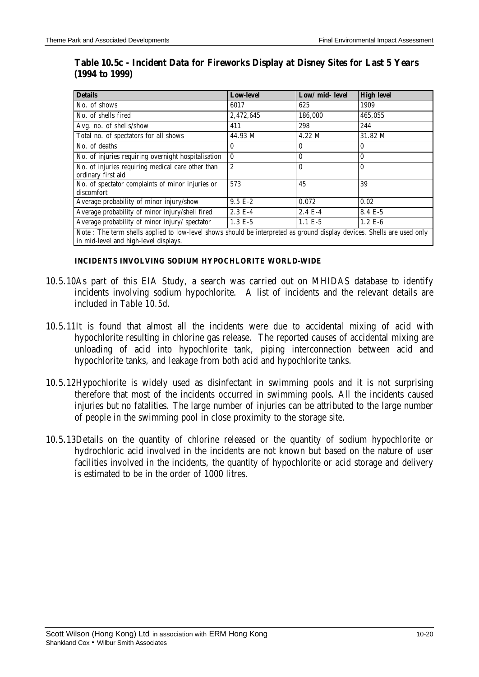| <b>Details</b>                                                                                                                                                   | <b>Low-level</b> | Low/ mid- level | <b>High level</b> |  |  |
|------------------------------------------------------------------------------------------------------------------------------------------------------------------|------------------|-----------------|-------------------|--|--|
| No. of shows                                                                                                                                                     | 6017             | 625             | 1909              |  |  |
| No. of shells fired                                                                                                                                              | 2,472,645        | 186,000         | 465,055           |  |  |
| Avg. no. of shells/show                                                                                                                                          | 411              | 298             | 244               |  |  |
| Total no. of spectators for all shows                                                                                                                            | 44.93 M          | 4.22 M          | 31.82 M           |  |  |
| No. of deaths                                                                                                                                                    | 0                | $\theta$        | 0                 |  |  |
| No. of injuries requiring overnight hospitalisation                                                                                                              | $\mathbf{0}$     | $\mathbf{0}$    | $\bf{0}$          |  |  |
| No. of injuries requiring medical care other than<br>ordinary first aid                                                                                          | $\overline{c}$   | $\mathbf{0}$    | $\mathbf{0}$      |  |  |
| No. of spectator complaints of minor injuries or<br>discomfort                                                                                                   | 573              | 45              | 39                |  |  |
| Average probability of minor injury/show                                                                                                                         | $9.5 E-2$        | 0.072           | 0.02              |  |  |
| Average probability of minor injury/shell fired                                                                                                                  | 2.3 E-4          | $2.4 E-4$       | 8.4 E-5           |  |  |
| Average probability of minor injury/ spectator                                                                                                                   | $1.3 E-5$        | $1.1 E-5$       | $1.2 E-6$         |  |  |
| Note : The term shells applied to low-level shows should be interpreted as ground display devices. Shells are used only<br>in mid-level and high-level displays. |                  |                 |                   |  |  |

### **Table 10.5c - Incident Data for Fireworks Display at Disney Sites for Last 5 Years (1994 to 1999)**

#### **INCIDENTS INVOLVING SODIUM HYPOCHLORITE WORLD-WIDE**

- 10.5.10 As part of this EIA Study, a search was carried out on MHIDAS database to identify incidents involving sodium hypochlorite. A list of incidents and the relevant details are included in *Table 10.5d*.
- 10.5.11 It is found that almost all the incidents were due to accidental mixing of acid with hypochlorite resulting in chlorine gas release. The reported causes of accidental mixing are unloading of acid into hypochlorite tank, piping interconnection between acid and hypochlorite tanks, and leakage from both acid and hypochlorite tanks.
- 10.5.12 Hypochlorite is widely used as disinfectant in swimming pools and it is not surprising therefore that most of the incidents occurred in swimming pools. All the incidents caused injuries but no fatalities. The large number of injuries can be attributed to the large number of people in the swimming pool in close proximity to the storage site.
- 10.5.13 Details on the quantity of chlorine released or the quantity of sodium hypochlorite or hydrochloric acid involved in the incidents are not known but based on the nature of user facilities involved in the incidents, the quantity of hypochlorite or acid storage and delivery is estimated to be in the order of 1000 litres.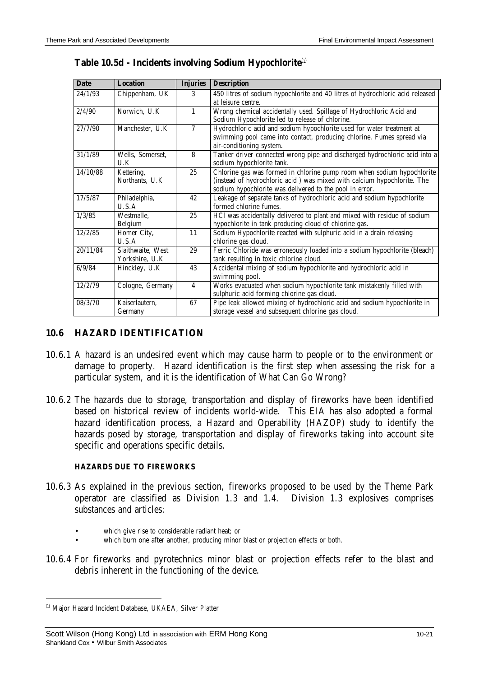| <b>Date</b> | <b>Location</b>                      | <b>Injuries</b> | <b>Description</b>                                                                                                                                                                                           |
|-------------|--------------------------------------|-----------------|--------------------------------------------------------------------------------------------------------------------------------------------------------------------------------------------------------------|
| 24/1/93     | Chippenham, UK                       | 3               | 450 litres of sodium hypochlorite and 40 litres of hydrochloric acid released<br>at leisure centre.                                                                                                          |
| 2/4/90      | Norwich, U.K.                        | $\mathbf{1}$    | Wrong chemical accidentally used. Spillage of Hydrochloric Acid and<br>Sodium Hypochlorite led to release of chlorine.                                                                                       |
| 27/7/90     | Manchester, U.K.                     | $\tau$          | Hydrochloric acid and sodium hypochlorite used for water treatment at<br>swimming pool came into contact, producing chlorine. Fumes spread via<br>air-conditioning system.                                   |
| 31/1/89     | Wells, Somerset,<br>U.K              | 8               | Tanker driver connected wrong pipe and discharged hydrochloric acid into a<br>sodium hypochlorite tank.                                                                                                      |
| 14/10/88    | Kettering,<br>Northants, U.K.        | 25              | Chlorine gas was formed in chlorine pump room when sodium hypochlorite<br>(instead of hydrochloric acid) was mixed with calcium hypochlorite. The<br>sodium hypochlorite was delivered to the pool in error. |
| 17/5/87     | Philadelphia,<br>U.S.A               | 42              | Leakage of separate tanks of hydrochloric acid and sodium hypochlorite<br>formed chlorine fumes.                                                                                                             |
| 1/3/85      | Westmalle.<br>Belgium                | 25              | HCl was accidentally delivered to plant and mixed with residue of sodium<br>hypochlorite in tank producing cloud of chlorine gas.                                                                            |
| 12/2/85     | Homer City,<br>U.S.A                 | 11              | Sodium Hypochlorite reacted with sulphuric acid in a drain releasing<br>chlorine gas cloud.                                                                                                                  |
| 20/11/84    | Slaithwaite, West<br>Yorkshire, U.K. | 29              | Ferric Chloride was erroneously loaded into a sodium hypochlorite (bleach)<br>tank resulting in toxic chlorine cloud.                                                                                        |
| 6/9/84      | Hinckley, U.K.                       | 43              | Accidental mixing of sodium hypochlorite and hydrochloric acid in<br>swimming pool.                                                                                                                          |
| 12/2/79     | Cologne, Germany                     | $\overline{4}$  | Works evacuated when sodium hypochlorite tank mistakenly filled with<br>sulphuric acid forming chlorine gas cloud.                                                                                           |
| 08/3/70     | Kaiserlautern,<br>Germany            | 67              | Pipe leak allowed mixing of hydrochloric acid and sodium hypochlorite in<br>storage vessel and subsequent chlorine gas cloud.                                                                                |

### **Table 10.5d - Incidents involving Sodium Hypochlorite**(1)

# **10.6 HAZARD IDENTIFICATION**

- 10.6.1 A hazard is an undesired event which may cause harm to people or to the environment or damage to property. Hazard identification is the first step when assessing the risk for a particular system, and it is the identification of What Can Go Wrong?
- 10.6.2 The hazards due to storage, transportation and display of fireworks have been identified based on historical review of incidents world-wide. This EIA has also adopted a formal hazard identification process, a Hazard and Operability (HAZOP) study to identify the hazards posed by storage, transportation and display of fireworks taking into account site specific and operations specific details.

#### **HAZARDS DUE TO FIREWORKS**

- 10.6.3 As explained in the previous section, fireworks proposed to be used by the Theme Park operator are classified as Division 1.3 and 1.4. Division 1.3 explosives comprises substances and articles:
	- which give rise to considerable radiant heat; or
	- which burn one after another, producing minor blast or projection effects or both.
- 10.6.4 For fireworks and pyrotechnics minor blast or projection effects refer to the blast and debris inherent in the functioning of the device.

<sup>&</sup>lt;sup>(1)</sup> Major Hazard Incident Database, UKAEA, Silver Platter

Scott Wilson (Hong Kong) Ltd in association with ERM Hong Kong 10-21 10-21 Shankland Cox • Wilbur Smith Associates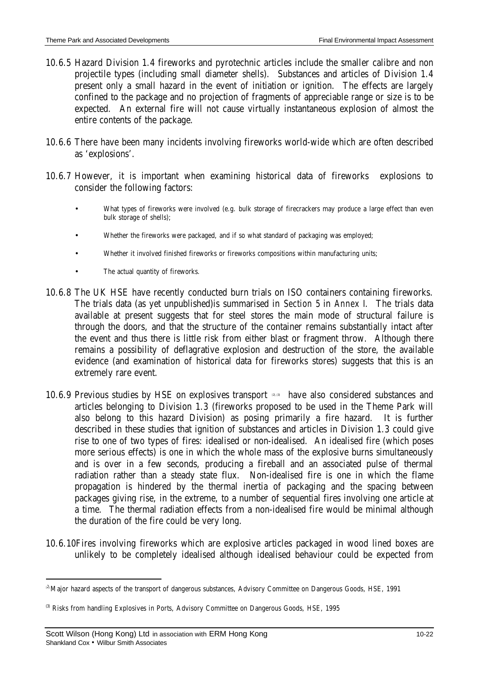- 10.6.5 Hazard Division 1.4 fireworks and pyrotechnic articles include the smaller calibre and non projectile types (including small diameter shells). Substances and articles of Division 1.4 present only a small hazard in the event of initiation or ignition. The effects are largely confined to the package and no projection of fragments of appreciable range or size is to be expected. An external fire will not cause virtually instantaneous explosion of almost the entire contents of the package.
- 10.6.6 There have been many incidents involving fireworks world-wide which are often described as 'explosions'.
- 10.6.7 However, it is important when examining historical data of fireworks explosions to consider the following factors:
	- What types of fireworks were involved (e.g. bulk storage of firecrackers may produce a large effect than even bulk storage of shells);
	- Whether the fireworks were packaged, and if so what standard of packaging was employed;
	- Whether it involved finished fireworks or fireworks compositions within manufacturing units;
	- The actual quantity of fireworks.
- 10.6.8 The UK HSE have recently conducted burn trials on ISO containers containing fireworks. The trials data (as yet unpublished)is summarised in *Section 5* in *Annex I*. The trials data available at present suggests that for steel stores the main mode of structural failure is through the doors, and that the structure of the container remains substantially intact after the event and thus there is little risk from either blast or fragment throw. Although there remains a possibility of deflagrative explosion and destruction of the store, the available evidence (and examination of historical data for fireworks stores) suggests that this is an extremely rare event.
- 10.6.9 Previous studies by HSE on explosives transport **(2.0)** have also considered substances and articles belonging to Division 1.3 (fireworks proposed to be used in the Theme Park will also belong to this hazard Division) as posing primarily a fire hazard. It is further described in these studies that ignition of substances and articles in Division 1.3 could give rise to one of two types of fires: idealised or non-idealised. An idealised fire (which poses more serious effects) is one in which the whole mass of the explosive burns simultaneously and is over in a few seconds, producing a fireball and an associated pulse of thermal radiation rather than a steady state flux. Non-idealised fire is one in which the flame propagation is hindered by the thermal inertia of packaging and the spacing between packages giving rise, in the extreme, to a number of sequential fires involving one article at a time. The thermal radiation effects from a non-idealised fire would be minimal although the duration of the fire could be very long.
- 10.6.10 Fires involving fireworks which are explosive articles packaged in wood lined boxes are unlikely to be completely idealised although idealised behaviour could be expected from

<sup>&</sup>lt;sup>(2)</sup> Major hazard aspects of the transport of dangerous substances, Advisory Committee on Dangerous Goods, HSE, 1991

<sup>(3)</sup> Risks from handling Explosives in Ports, Advisory Committee on Dangerous Goods, HSE, 1995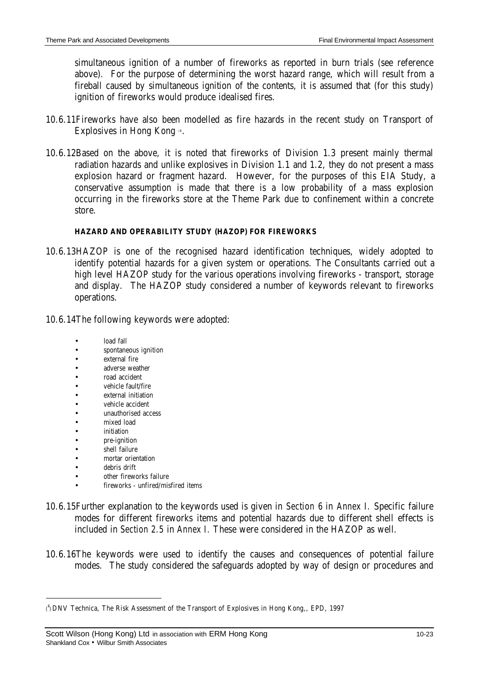simultaneous ignition of a number of fireworks as reported in burn trials (see reference above)*.* For the purpose of determining the worst hazard range, which will result from a fireball caused by simultaneous ignition of the contents, it is assumed that (for this study) ignition of fireworks would produce idealised fires.

- 10.6.11 Fireworks have also been modelled as fire hazards in the recent study on Transport of Explosives in Hong Kong 4.
- 10.6.12 Based on the above, it is noted that fireworks of Division 1.3 present mainly thermal radiation hazards and unlike explosives in Division 1.1 and 1.2, they do not present a mass explosion hazard or fragment hazard. However, for the purposes of this EIA Study, a conservative assumption is made that there is a low probability of a mass explosion occurring in the fireworks store at the Theme Park due to confinement within a concrete store.

#### **HAZARD AND OPERABILITY STUDY (HAZOP) FOR FIREWORKS**

- 10.6.13 HAZOP is one of the recognised hazard identification techniques, widely adopted to identify potential hazards for a given system or operations. The Consultants carried out a high level HAZOP study for the various operations involving fireworks - transport, storage and display. The HAZOP study considered a number of keywords relevant to fireworks operations.
- 10.6.14 The following keywords were adopted:
	- load fall
	- spontaneous ignition
	- external fire
	- adverse weather
	- road accident
	- vehicle fault/fire
	- external initiation
	- vehicle accident
	- unauthorised access
	- mixed load
	- *initiation*
	- pre-ignition
	- shell failure
	- mortar orientation
	- debris drift

- other fireworks failure
- fireworks unfired/misfired items
- 10.6.15 Further explanation to the keywords used is given in *Section 6* in *Annex I.* Specific failure modes for different fireworks items and potential hazards due to different shell effects is included in *Section 2.5* in *Annex I.* These were considered in the HAZOP as well.
- 10.6.16 The keywords were used to identify the causes and consequences of potential failure modes. The study considered the safeguards adopted by way of design or procedures and

<sup>(</sup> 4 ) DNV Technica, The Risk Assessment of the Transport of Explosives in Hong Kong,, EPD, 1997

Scott Wilson (Hong Kong) Ltd in association with ERM Hong Kong 10-23 Shankland Cox • Wilbur Smith Associates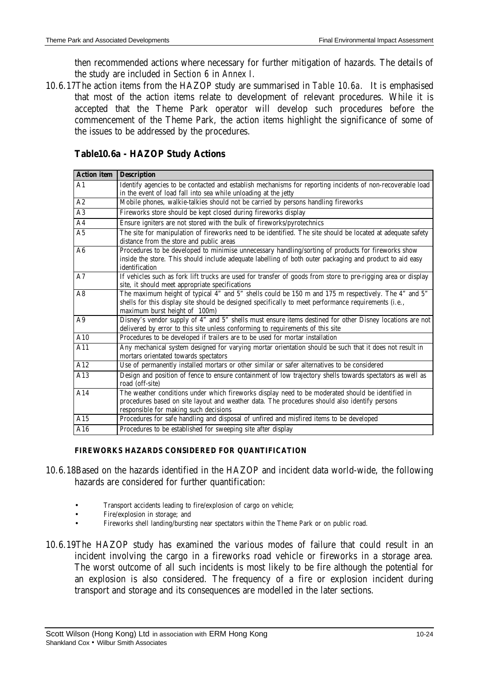then recommended actions where necessary for further mitigation of hazards. The details of the study are included in *Section 6* in *Annex I.*

10.6.17 The action items from the HAZOP study are summarised in *Table 10.6a.* It is emphasised that most of the action items relate to development of relevant procedures. While it is accepted that the Theme Park operator will develop such procedures before the commencement of the Theme Park, the action items highlight the significance of some of the issues to be addressed by the procedures.

# **Table10.6a - HAZOP Study Actions**

| <b>Action item</b> | <b>Description</b>                                                                                                                                                                                                                           |
|--------------------|----------------------------------------------------------------------------------------------------------------------------------------------------------------------------------------------------------------------------------------------|
| A1                 | Identify agencies to be contacted and establish mechanisms for reporting incidents of non-recoverable load                                                                                                                                   |
|                    | in the event of load fall into sea while unloading at the jetty                                                                                                                                                                              |
| A2                 | Mobile phones, walkie-talkies should not be carried by persons handling fireworks                                                                                                                                                            |
| A <sub>3</sub>     | Fireworks store should be kept closed during fireworks display                                                                                                                                                                               |
| A <sub>4</sub>     | Ensure igniters are not stored with the bulk of fireworks/pyrotechnics                                                                                                                                                                       |
| A5                 | The site for manipulation of fireworks need to be identified. The site should be located at adequate safety<br>distance from the store and public areas                                                                                      |
| A6                 | Procedures to be developed to minimise unnecessary handling/sorting of products for fireworks show<br>inside the store. This should include adequate labelling of both outer packaging and product to aid easy<br>identification             |
| A7                 | If vehicles such as fork lift trucks are used for transfer of goods from store to pre-rigging area or display<br>site, it should meet appropriate specifications                                                                             |
| A8                 | The maximum height of typical 4" and 5" shells could be 150 m and 175 m respectively. The 4" and 5"<br>shells for this display site should be designed specifically to meet performance requirements (i.e.,<br>maximum burst height of 100m) |
| A9                 | Disney's vendor supply of 4" and 5" shells must ensure items destined for other Disney locations are not<br>delivered by error to this site unless conforming to requirements of this site                                                   |
| A10                | Procedures to be developed if trailers are to be used for mortar installation                                                                                                                                                                |
| A11                | Any mechanical system designed for varying mortar orientation should be such that it does not result in<br>mortars orientated towards spectators                                                                                             |
| A12                | Use of permanently installed mortars or other similar or safer alternatives to be considered                                                                                                                                                 |
| A13                | Design and position of fence to ensure containment of low trajectory shells towards spectators as well as<br>road (off-site)                                                                                                                 |
| A14                | The weather conditions under which fireworks display need to be moderated should be identified in<br>procedures based on site layout and weather data. The procedures should also identify persons<br>responsible for making such decisions  |
| A15                | Procedures for safe handling and disposal of unfired and misfired items to be developed                                                                                                                                                      |
| A16                | Procedures to be established for sweeping site after display                                                                                                                                                                                 |

#### **FIREWORKS HAZARDS CONSIDERED FOR QUANTIFICATION**

- 10.6.18 Based on the hazards identified in the HAZOP and incident data world-wide, the following hazards are considered for further quantification:
	- Transport accidents leading to fire/explosion of cargo on vehicle;
	- Fire/explosion in storage; and
	- Fireworks shell landing/bursting near spectators within the Theme Park or on public road.
- 10.6.19 The HAZOP study has examined the various modes of failure that could result in an incident involving the cargo in a fireworks road vehicle or fireworks in a storage area. The worst outcome of all such incidents is most likely to be fire although the potential for an explosion is also considered. The frequency of a fire or explosion incident during transport and storage and its consequences are modelled in the later sections.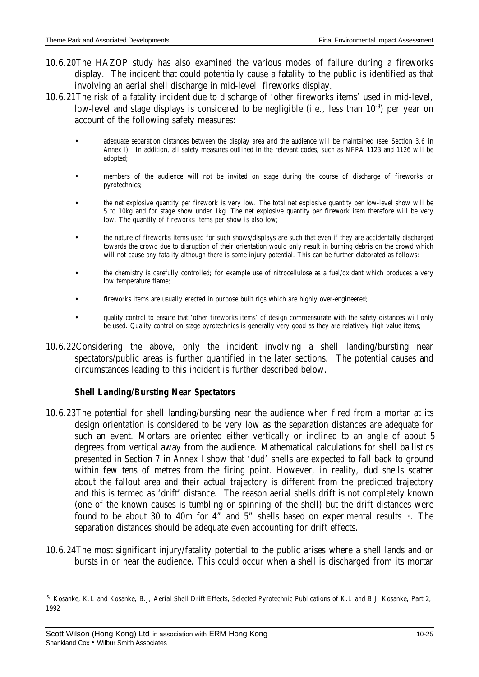- 10.6.20 The HAZOP study has also examined the various modes of failure during a fireworks display. The incident that could potentially cause a fatality to the public is identified as that involving an aerial shell discharge in mid-level fireworks display.
- 10.6.21 The risk of a fatality incident due to discharge of 'other fireworks items' used in mid-level, low-level and stage displays is considered to be negligible (i.e., less than 10<sup>-9</sup>) per year on account of the following safety measures:
	- adequate separation distances between the display area and the audience will be maintained (see *Section 3.6* in *Annex I*). In addition, all safety measures outlined in the relevant codes, such as NFPA 1123 and 1126 will be adopted;
	- members of the audience will not be invited on stage during the course of discharge of fireworks or pyrotechnics;
	- the net explosive quantity per firework is very low. The total net explosive quantity per low-level show will be 5 to 10kg and for stage show under 1kg. The net explosive quantity per firework item therefore will be very low. The quantity of fireworks items per show is also low;
	- the nature of fireworks items used for such shows/displays are such that even if they are accidentally discharged towards the crowd due to disruption of their orientation would only result in burning debris on the crowd which will not cause any fatality although there is some injury potential. This can be further elaborated as follows:
	- the chemistry is carefully controlled; for example use of nitrocellulose as a fuel/oxidant which produces a very low temperature flame;
	- fireworks items are usually erected in purpose built rigs which are highly over-engineered;
	- quality control to ensure that 'other fireworks items' of design commensurate with the safety distances will only be used. Quality control on stage pyrotechnics is generally very good as they are relatively high value items;
- 10.6.22 Considering the above, only the incident involving a shell landing/bursting near spectators/public areas is further quantified in the later sections. The potential causes and circumstances leading to this incident is further described below.

# *Shell Landing/Bursting Near Spectators*

- 10.6.23 The potential for shell landing/bursting near the audience when fired from a mortar at its design orientation is considered to be very low as the separation distances are adequate for such an event. Mortars are oriented either vertically or inclined to an angle of about 5 degrees from vertical away from the audience. Mathematical calculations for shell ballistics presented in *Section 7* in *Annex I* show that 'dud' shells are expected to fall back to ground within few tens of metres from the firing point. However, in reality, dud shells scatter about the fallout area and their actual trajectory is different from the predicted trajectory and this is termed as 'drift' distance. The reason aerial shells drift is not completely known (one of the known causes is tumbling or spinning of the shell) but the drift distances were found to be about 30 to 40m for 4" and 5" shells based on experimental results  $\bullet$ . The separation distances should be adequate even accounting for drift effects.
- 10.6.24 The most significant injury/fatality potential to the public arises where a shell lands and or bursts in or near the audience. This could occur when a shell is discharged from its mortar

Scott Wilson (Hong Kong) Ltd in association with ERM Hong Kong 10-25 Shankland Cox • Wilbur Smith Associates

<sup>&</sup>lt;sup>(5)</sup> Kosanke, K.L and Kosanke, B.J, Aerial Shell Drift Effects, Selected Pyrotechnic Publications of K.L and B.J. Kosanke, Part 2, 1992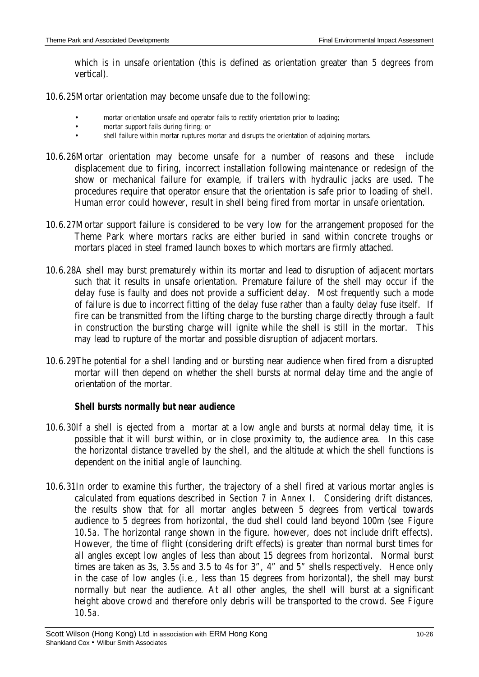which is in unsafe orientation (this is defined as orientation greater than 5 degrees from vertical).

10.6.25 Mortar orientation may become unsafe due to the following:

- mortar orientation unsafe and operator fails to rectify orientation prior to loading;
- mortar support fails during firing; or
- shell failure within mortar ruptures mortar and disrupts the orientation of adjoining mortars.
- 10.6.26 Mortar orientation may become unsafe for a number of reasons and these include displacement due to firing, incorrect installation following maintenance or redesign of the show or mechanical failure for example, if trailers with hydraulic jacks are used. The procedures require that operator ensure that the orientation is safe prior to loading of shell. Human error could however, result in shell being fired from mortar in unsafe orientation.
- 10.6.27 Mortar support failure is considered to be very low for the arrangement proposed for the Theme Park where mortars racks are either buried in sand within concrete troughs or mortars placed in steel framed launch boxes to which mortars are firmly attached.
- 10.6.28A shell may burst prematurely within its mortar and lead to disruption of adjacent mortars such that it results in unsafe orientation. Premature failure of the shell may occur if the delay fuse is faulty and does not provide a sufficient delay. Most frequently such a mode of failure is due to incorrect fitting of the delay fuse rather than a faulty delay fuse itself. If fire can be transmitted from the lifting charge to the bursting charge directly through a fault in construction the bursting charge will ignite while the shell is still in the mortar. This may lead to rupture of the mortar and possible disruption of adjacent mortars.
- 10.6.29 The potential for a shell landing and or bursting near audience when fired from a disrupted mortar will then depend on whether the shell bursts at normal delay time and the angle of orientation of the mortar.

### *Shell bursts normally but near audience*

- 10.6.30 If a shell is ejected from a mortar at a low angle and bursts at normal delay time, it is possible that it will burst within, or in close proximity to, the audience area. In this case the horizontal distance travelled by the shell, and the altitude at which the shell functions is dependent on the initial angle of launching.
- 10.6.31 In order to examine this further, the trajectory of a shell fired at various mortar angles is calculated from equations described in *Section 7* in *Annex I.* Considering drift distances, the results show that for all mortar angles between 5 degrees from vertical towards audience to 5 degrees from horizontal, the dud shell could land beyond 100m (see *Figure 10.5a*. The horizontal range shown in the figure. however, does not include drift effects). However, the time of flight (considering drift effects) is greater than normal burst times for all angles except low angles of less than about 15 degrees from horizontal. Normal burst times are taken as 3s, 3.5s and 3.5 to 4s for 3", 4" and 5" shells respectively. Hence only in the case of low angles (i.e., less than 15 degrees from horizontal), the shell may burst normally but near the audience. At all other angles, the shell will burst at a significant height above crowd and therefore only debris will be transported to the crowd. See *Figure 10.5a*.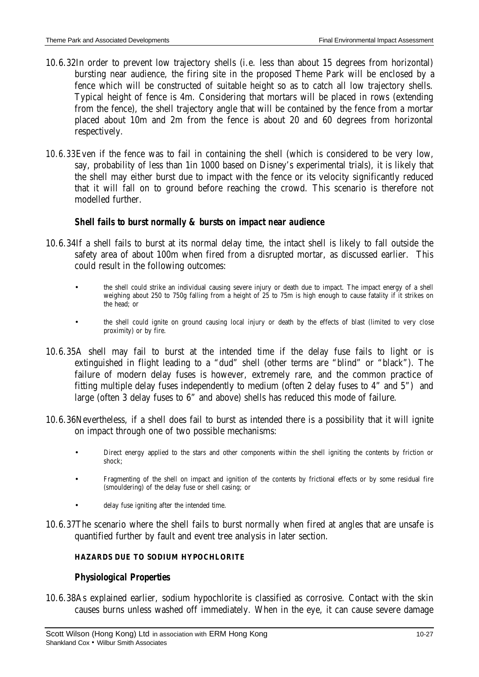- 10.6.32 In order to prevent low trajectory shells (i.e. less than about 15 degrees from horizontal) bursting near audience, the firing site in the proposed Theme Park will be enclosed by a fence which will be constructed of suitable height so as to catch all low trajectory shells. Typical height of fence is 4m. Considering that mortars will be placed in rows (extending from the fence), the shell trajectory angle that will be contained by the fence from a mortar placed about 10m and 2m from the fence is about 20 and 60 degrees from horizontal respectively.
- 10.6.33 Even if the fence was to fail in containing the shell (which is considered to be very low, say, probability of less than 1in 1000 based on Disney's experimental trials), it is likely that the shell may either burst due to impact with the fence or its velocity significantly reduced that it will fall on to ground before reaching the crowd. This scenario is therefore not modelled further.

# *Shell fails to burst normally & bursts on impact near audience*

- 10.6.34 If a shell fails to burst at its normal delay time, the intact shell is likely to fall outside the safety area of about 100m when fired from a disrupted mortar, as discussed earlier. This could result in the following outcomes:
	- the shell could strike an individual causing severe injury or death due to impact. The impact energy of a shell weighing about 250 to 750g falling from a height of 25 to 75m is high enough to cause fatality if it strikes on the head; or
	- the shell could ignite on ground causing local injury or death by the effects of blast (limited to very close proximity) or by fire.
- 10.6.35A shell may fail to burst at the intended time if the delay fuse fails to light or is extinguished in flight leading to a "dud" shell (other terms are "blind" or "black"). The failure of modern delay fuses is however, extremely rare, and the common practice of fitting multiple delay fuses independently to medium (often 2 delay fuses to 4" and 5") and large (often 3 delay fuses to 6" and above) shells has reduced this mode of failure.
- 10.6.36 Nevertheless, if a shell does fail to burst as intended there is a possibility that it will ignite on impact through one of two possible mechanisms:
	- Direct energy applied to the stars and other components within the shell igniting the contents by friction or shock;
	- Fragmenting of the shell on impact and ignition of the contents by frictional effects or by some residual fire (smouldering) of the delay fuse or shell casing; or
	- delay fuse igniting after the intended time.
- 10.6.37 The scenario where the shell fails to burst normally when fired at angles that are unsafe is quantified further by fault and event tree analysis in later section.

### **HAZARDS DUE TO SODIUM HYPOCHLORITE**

### *Physiological Properties*

10.6.38 As explained earlier, sodium hypochlorite is classified as corrosive. Contact with the skin causes burns unless washed off immediately. When in the eye, it can cause severe damage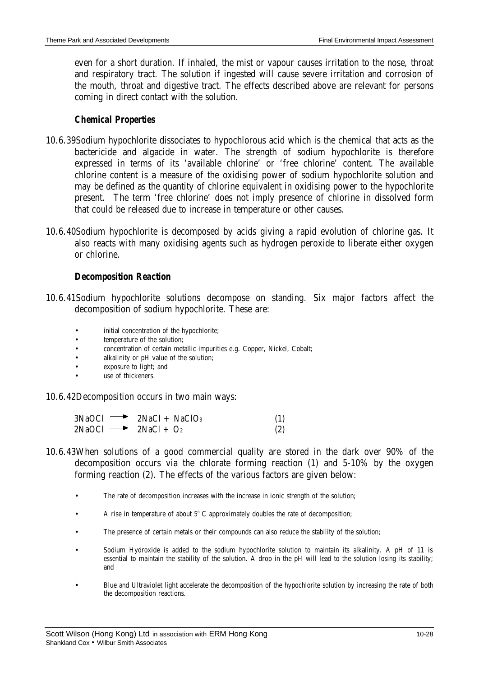even for a short duration. If inhaled, the mist or vapour causes irritation to the nose, throat and respiratory tract. The solution if ingested will cause severe irritation and corrosion of the mouth, throat and digestive tract. The effects described above are relevant for persons coming in direct contact with the solution.

## *Chemical Properties*

- 10.6.39 Sodium hypochlorite dissociates to hypochlorous acid which is the chemical that acts as the bactericide and algacide in water. The strength of sodium hypochlorite is therefore expressed in terms of its 'available chlorine' or 'free chlorine' content. The available chlorine content is a measure of the oxidising power of sodium hypochlorite solution and may be defined as the quantity of chlorine equivalent in oxidising power to the hypochlorite present. The term 'free chlorine' does not imply presence of chlorine in dissolved form that could be released due to increase in temperature or other causes.
- 10.6.40 Sodium hypochlorite is decomposed by acids giving a rapid evolution of chlorine gas. It also reacts with many oxidising agents such as hydrogen peroxide to liberate either oxygen or chlorine.

### *Decomposition Reaction*

- 10.6.41 Sodium hypochlorite solutions decompose on standing. Six major factors affect the decomposition of sodium hypochlorite. These are:
	- initial concentration of the hypochlorite;
	- temperature of the solution;
	- concentration of certain metallic impurities e.g. Copper, Nickel, Cobalt;
	- alkalinity or pH value of the solution;
	- exposure to light; and
	- use of thickeners.

10.6.42 Decomposition occurs in two main ways:

|                                      | $3NaOCl \longrightarrow 2NaCl + NaClO3$ | (1) |
|--------------------------------------|-----------------------------------------|-----|
| $2NaOCl \longrightarrow 2NaCl + O_2$ |                                         | (2) |

- 10.6.43 When solutions of a good commercial quality are stored in the dark over 90% of the decomposition occurs via the chlorate forming reaction (1) and 5-10% by the oxygen forming reaction (2). The effects of the various factors are given below:
	- The rate of decomposition increases with the increase in ionic strength of the solution;
	- A rise in temperature of about  $5^{\circ}$  C approximately doubles the rate of decomposition;
	- The presence of certain metals or their compounds can also reduce the stability of the solution;
	- Sodium Hydroxide is added to the sodium hypochlorite solution to maintain its alkalinity. A pH of 11 is essential to maintain the stability of the solution. A drop in the pH will lead to the solution losing its stability; and
	- Blue and Ultraviolet light accelerate the decomposition of the hypochlorite solution by increasing the rate of both the decomposition reactions.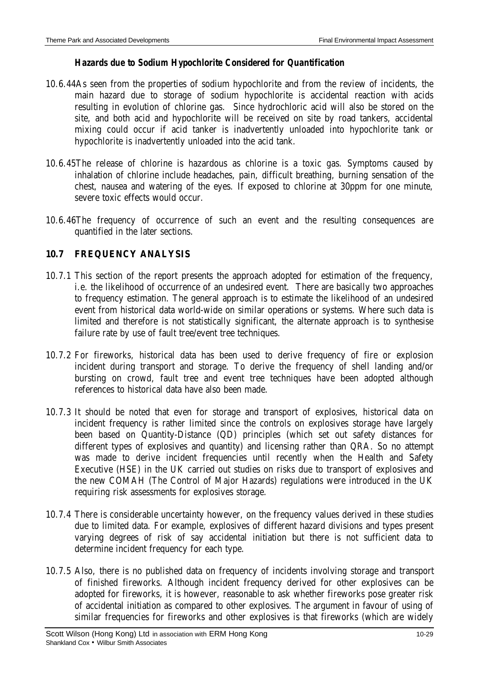### *Hazards due to Sodium Hypochlorite Considered for Quantification*

- 10.6.44 As seen from the properties of sodium hypochlorite and from the review of incidents, the main hazard due to storage of sodium hypochlorite is accidental reaction with acids resulting in evolution of chlorine gas. Since hydrochloric acid will also be stored on the site, and both acid and hypochlorite will be received on site by road tankers, accidental mixing could occur if acid tanker is inadvertently unloaded into hypochlorite tank or hypochlorite is inadvertently unloaded into the acid tank.
- 10.6.45 The release of chlorine is hazardous as chlorine is a toxic gas. Symptoms caused by inhalation of chlorine include headaches, pain, difficult breathing, burning sensation of the chest, nausea and watering of the eyes. If exposed to chlorine at 30ppm for one minute, severe toxic effects would occur.
- 10.6.46 The frequency of occurrence of such an event and the resulting consequences are quantified in the later sections.

# **10.7 FREQUENCY ANALYSIS**

- 10.7.1 This section of the report presents the approach adopted for estimation of the frequency, i.e. the likelihood of occurrence of an undesired event. There are basically two approaches to frequency estimation. The general approach is to estimate the likelihood of an undesired event from historical data world-wide on similar operations or systems. Where such data is limited and therefore is not statistically significant, the alternate approach is to synthesise failure rate by use of fault tree/event tree techniques.
- 10.7.2 For fireworks, historical data has been used to derive frequency of fire or explosion incident during transport and storage. To derive the frequency of shell landing and/or bursting on crowd, fault tree and event tree techniques have been adopted although references to historical data have also been made.
- 10.7.3 It should be noted that even for storage and transport of explosives, historical data on incident frequency is rather limited since the controls on explosives storage have largely been based on Quantity-Distance (QD) principles (which set out safety distances for different types of explosives and quantity) and licensing rather than QRA. So no attempt was made to derive incident frequencies until recently when the Health and Safety Executive (HSE) in the UK carried out studies on risks due to transport of explosives and the new COMAH (The Control of Major Hazards) regulations were introduced in the UK requiring risk assessments for explosives storage.
- 10.7.4 There is considerable uncertainty however, on the frequency values derived in these studies due to limited data. For example, explosives of different hazard divisions and types present varying degrees of risk of say accidental initiation but there is not sufficient data to determine incident frequency for each type.
- 10.7.5 Also, there is no published data on frequency of incidents involving storage and transport of finished fireworks. Although incident frequency derived for other explosives can be adopted for fireworks, it is however, reasonable to ask whether fireworks pose greater risk of accidental initiation as compared to other explosives. The argument in favour of using of similar frequencies for fireworks and other explosives is that fireworks (which are widely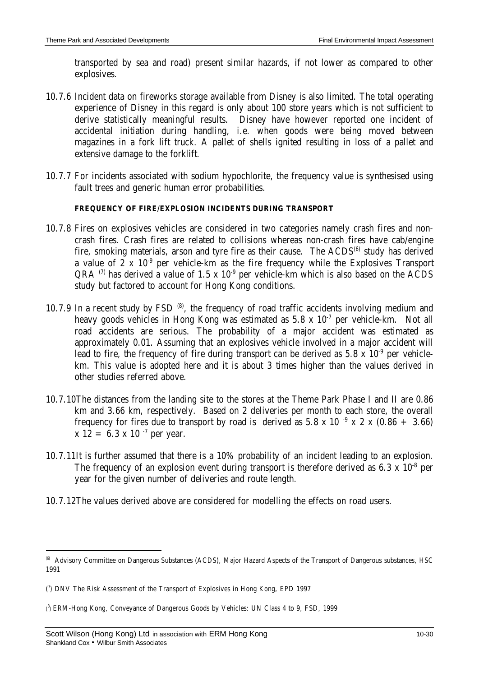transported by sea and road) present similar hazards, if not lower as compared to other explosives.

- 10.7.6 Incident data on fireworks storage available from Disney is also limited. The total operating experience of Disney in this regard is only about 100 store years which is not sufficient to derive statistically meaningful results. Disney have however reported one incident of accidental initiation during handling, i.e. when goods were being moved between magazines in a fork lift truck. A pallet of shells ignited resulting in loss of a pallet and extensive damage to the forklift.
- 10.7.7 For incidents associated with sodium hypochlorite, the frequency value is synthesised using fault trees and generic human error probabilities.

### **FREQUENCY OF FIRE/EXPLOSION INCIDENTS DURING TRANSPORT**

- 10.7.8 Fires on explosives vehicles are considered in two categories namely crash fires and noncrash fires. Crash fires are related to collisions whereas non-crash fires have cab/engine fire, smoking materials, arson and tyre fire as their cause. The  $ACDS^{(6)}$  study has derived a value of  $2 \times 10^{-9}$  per vehicle-km as the fire frequency while the Explosives Transport QRA  $(7)$  has derived a value of 1.5 x 10<sup>-9</sup> per vehicle-km which is also based on the ACDS study but factored to account for Hong Kong conditions.
- 10.7.9 In a recent study by FSD<sup>(8)</sup>, the frequency of road traffic accidents involving medium and heavy goods vehicles in Hong Kong was estimated as  $5.8 \times 10^{-7}$  per vehicle-km. Not all road accidents are serious. The probability of a major accident was estimated as approximately 0.01. Assuming that an explosives vehicle involved in a major accident will lead to fire, the frequency of fire during transport can be derived as  $5.8 \times 10^{-9}$  per vehiclekm. This value is adopted here and it is about 3 times higher than the values derived in other studies referred above.
- 10.7.10 The distances from the landing site to the stores at the Theme Park Phase I and II are 0.86 km and 3.66 km, respectively. Based on 2 deliveries per month to each store, the overall frequency for fires due to transport by road is derived as  $5.8 \times 10^{-9} \times 2 \times (0.86 + 3.66)$  $x 12 = 6.3 x 10^{-7}$  per year.
- 10.7.11 It is further assumed that there is a 10% probability of an incident leading to an explosion. The frequency of an explosion event during transport is therefore derived as  $6.3 \times 10^{-8}$  per year for the given number of deliveries and route length.
- 10.7.12 The values derived above are considered for modelling the effects on road users.

<sup>&</sup>lt;sup>(6)</sup> Advisory Committee on Dangerous Substances (ACDS), Major Hazard Aspects of the Transport of Dangerous substances, HSC 1991

<sup>(</sup> 7 ) DNV The Risk Assessment of the Transport of Explosives in Hong Kong, EPD 1997

<sup>(</sup> 8 ) ERM-Hong Kong, Conveyance of Dangerous Goods by Vehicles: UN Class 4 to 9, FSD, 1999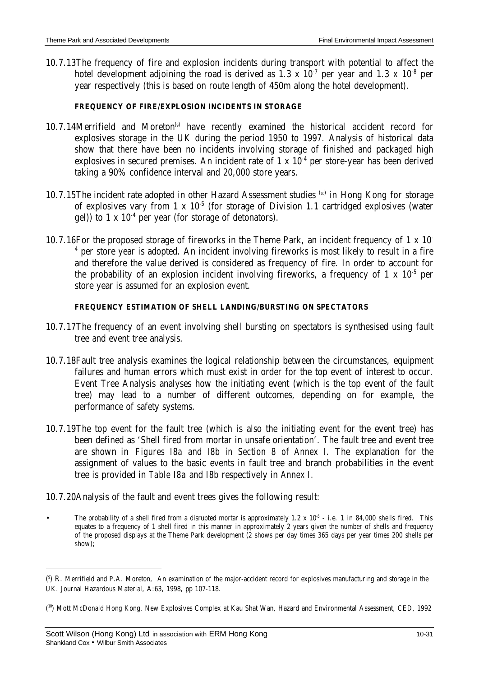10.7.13 The frequency of fire and explosion incidents during transport with potential to affect the hotel development adjoining the road is derived as  $1.3 \times 10^{-7}$  per year and  $1.3 \times 10^{-8}$  per year respectively (this is based on route length of 450m along the hotel development).

### **FREQUENCY OF FIRE/EXPLOSION INCIDENTS IN STORAGE**

- 10.7.14 Merrifield and Moreton<sup>(a)</sup> have recently examined the historical accident record for explosives storage in the UK during the period 1950 to 1997. Analysis of historical data show that there have been no incidents involving storage of finished and packaged high explosives in secured premises. An incident rate of  $1 \times 10^{-4}$  per store-year has been derived taking a 90% confidence interval and 20,000 store years.
- 10.7.15 The incident rate adopted in other Hazard Assessment studies (10) in Hong Kong for storage of explosives vary from  $1 \times 10^{-5}$  (for storage of Division 1.1 cartridged explosives (water gel)) to 1 x  $10^{-4}$  per year (for storage of detonators).
- 10.7.16 For the proposed storage of fireworks in the Theme Park, an incident frequency of 1 x 10- <sup>4</sup> per store year is adopted. An incident involving fireworks is most likely to result in a fire and therefore the value derived is considered as frequency of fire. In order to account for the probability of an explosion incident involving fireworks, a frequency of 1 x  $10^{-5}$  per store year is assumed for an explosion event.

### **FREQUENCY ESTIMATION OF SHELL LANDING/BURSTING ON SPECTATORS**

- 10.7.17 The frequency of an event involving shell bursting on spectators is synthesised using fault tree and event tree analysis.
- 10.7.18 Fault tree analysis examines the logical relationship between the circumstances, equipment failures and human errors which must exist in order for the top event of interest to occur. Event Tree Analysis analyses how the initiating event (which is the top event of the fault tree) may lead to a number of different outcomes, depending on for example, the performance of safety systems.
- 10.7.19 The top event for the fault tree (which is also the initiating event for the event tree) has been defined as 'Shell fired from mortar in unsafe orientation'. The fault tree and event tree are shown in *Figures I8a* and *I8b in Section 8 of Annex I.* The explanation for the assignment of values to the basic events in fault tree and branch probabilities in the event tree is provided in *Table I8a* and *I8b* respectively in *Annex I.*
- 10.7.20 Analysis of the fault and event trees gives the following result:

The probability of a shell fired from a disrupted mortar is approximately  $1.2 \times 10^5$  - i.e. 1 in 84,000 shells fired. This equates to a frequency of 1 shell fired in this manner in approximately 2 years given the number of shells and frequency of the proposed displays at the Theme Park development (2 shows per day times 365 days per year times 200 shells per show);

<sup>(</sup> 9 ) R. Merrifield and P.A. Moreton, An examination of the major-accident record for explosives manufacturing and storage in the UK. Journal Hazardous Material, A:63, 1998, pp 107-118.

<sup>(</sup> 10) Mott McDonald Hong Kong, New Explosives Complex at Kau Shat Wan, Hazard and Environmental Assessment, CED, 1992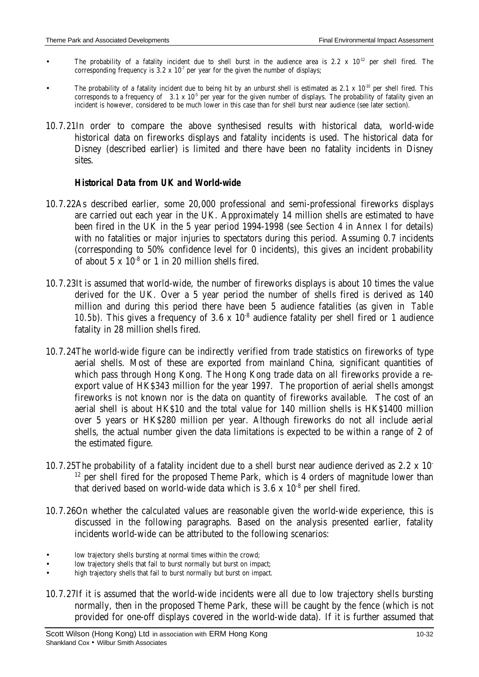- The probability of a fatality incident due to shell burst in the audience area is 2.2 x  $10^{-12}$  per shell fired. The corresponding frequency is  $3.2 \times 10^7$  per year for the given the number of displays;
- The probability of a fatality incident due to being hit by an unburst shell is estimated as  $2.1 \times 10^{-10}$  per shell fired. This corresponds to a frequency of  $3.1 \times 10^5$  per year for the given number of displays. The probability of fatality given an incident is however, considered to be much lower in this case than for shell burst near audience (see later section).
- 10.7.21 In order to compare the above synthesised results with historical data, world-wide historical data on fireworks displays and fatality incidents is used. The historical data for Disney (described earlier) is limited and there have been no fatality incidents in Disney sites.

#### *Historical Data from UK and World-wide*

- 10.7.22 As described earlier, some 20,000 professional and semi-professional fireworks displays are carried out each year in the UK. Approximately 14 million shells are estimated to have been fired in the UK in the 5 year period 1994-1998 (see *Section 4* in *Annex I* for details) with no fatalities or major injuries to spectators during this period. Assuming 0.7 incidents (corresponding to 50% confidence level for 0 incidents), this gives an incident probability of about  $5 \times 10^{-8}$  or 1 in 20 million shells fired.
- 10.7.23 It is assumed that world-wide, the number of fireworks displays is about 10 times the value derived for the UK. Over a 5 year period the number of shells fired is derived as 140 million and during this period there have been 5 audience fatalities (as given in *Table* 10.5b). This gives a frequency of 3.6 x 10<sup>-8</sup> audience fatality per shell fired or 1 audience fatality in 28 million shells fired.
- 10.7.24 The world-wide figure can be indirectly verified from trade statistics on fireworks of type aerial shells. Most of these are exported from mainland China, significant quantities of which pass through Hong Kong. The Hong Kong trade data on all fireworks provide a reexport value of HK\$343 million for the year 1997. The proportion of aerial shells amongst fireworks is not known nor is the data on quantity of fireworks available. The cost of an aerial shell is about HK\$10 and the total value for 140 million shells is HK\$1400 million over 5 years or HK\$280 million per year. Although fireworks do not all include aerial shells, the actual number given the data limitations is expected to be within a range of 2 of the estimated figure.
- 10.7.25 The probability of a fatality incident due to a shell burst near audience derived as 2.2 x 10-  $12$  per shell fired for the proposed Theme Park, which is 4 orders of magnitude lower than that derived based on world-wide data which is  $3.6 \times 10^{-8}$  per shell fired.
- 10.7.26 On whether the calculated values are reasonable given the world-wide experience, this is discussed in the following paragraphs. Based on the analysis presented earlier, fatality incidents world-wide can be attributed to the following scenarios:
- low trajectory shells bursting at normal times within the crowd;
- low trajectory shells that fail to burst normally but burst on impact;
- high trajectory shells that fail to burst normally but burst on impact.
- 10.7.27 If it is assumed that the world-wide incidents were all due to low trajectory shells bursting normally, then in the proposed Theme Park, these will be caught by the fence (which is not provided for one-off displays covered in the world-wide data). If it is further assumed that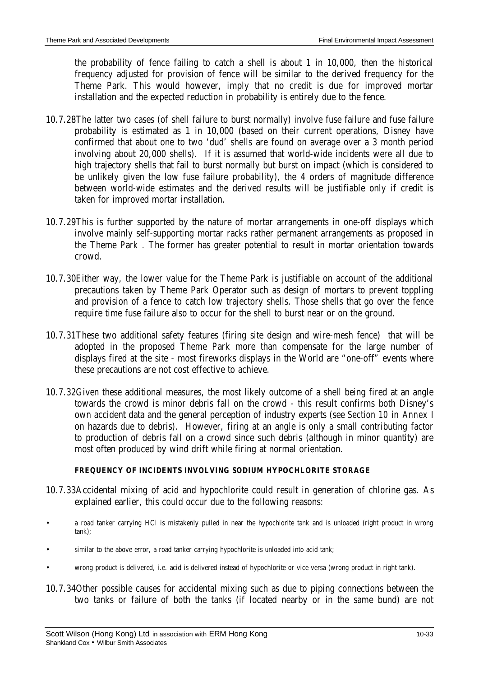the probability of fence failing to catch a shell is about 1 in 10,000, then the historical frequency adjusted for provision of fence will be similar to the derived frequency for the Theme Park. This would however, imply that no credit is due for improved mortar installation and the expected reduction in probability is entirely due to the fence.

- 10.7.28 The latter two cases (of shell failure to burst normally) involve fuse failure and fuse failure probability is estimated as 1 in 10,000 (based on their current operations, Disney have confirmed that about one to two 'dud' shells are found on average over a 3 month period involving about 20,000 shells). If it is assumed that world-wide incidents were all due to high trajectory shells that fail to burst normally but burst on impact (which is considered to be unlikely given the low fuse failure probability), the 4 orders of magnitude difference between world-wide estimates and the derived results will be justifiable only if credit is taken for improved mortar installation.
- 10.7.29 This is further supported by the nature of mortar arrangements in one-off displays which involve mainly self-supporting mortar racks rather permanent arrangements as proposed in the Theme Park . The former has greater potential to result in mortar orientation towards crowd.
- 10.7.30 Either way, the lower value for the Theme Park is justifiable on account of the additional precautions taken by Theme Park Operator such as design of mortars to prevent toppling and provision of a fence to catch low trajectory shells. Those shells that go over the fence require time fuse failure also to occur for the shell to burst near or on the ground.
- 10.7.31 These two additional safety features (firing site design and wire-mesh fence) that will be adopted in the proposed Theme Park more than compensate for the large number of displays fired at the site - most fireworks displays in the World are "one-off" events where these precautions are not cost effective to achieve.
- 10.7.32 Given these additional measures, the most likely outcome of a shell being fired at an angle towards the crowd is minor debris fall on the crowd - this result confirms both Disney's own accident data and the general perception of industry experts (see *Section 10* in *Annex I* on hazards due to debris). However, firing at an angle is only a small contributing factor to production of debris fall on a crowd since such debris (although in minor quantity) are most often produced by wind drift while firing at normal orientation.

### **FREQUENCY OF INCIDENTS INVOLVING SODIUM HYPOCHLORITE STORAGE**

- 10.7.33 Accidental mixing of acid and hypochlorite could result in generation of chlorine gas. As explained earlier, this could occur due to the following reasons:
- a road tanker carrying HCl is mistakenly pulled in near the hypochlorite tank and is unloaded (right product in wrong tank);
- similar to the above error, a road tanker carrying hypochlorite is unloaded into acid tank;
- wrong product is delivered, i.e. acid is delivered instead of hypochlorite or vice versa (wrong product in right tank).
- 10.7.34 Other possible causes for accidental mixing such as due to piping connections between the two tanks or failure of both the tanks (if located nearby or in the same bund) are not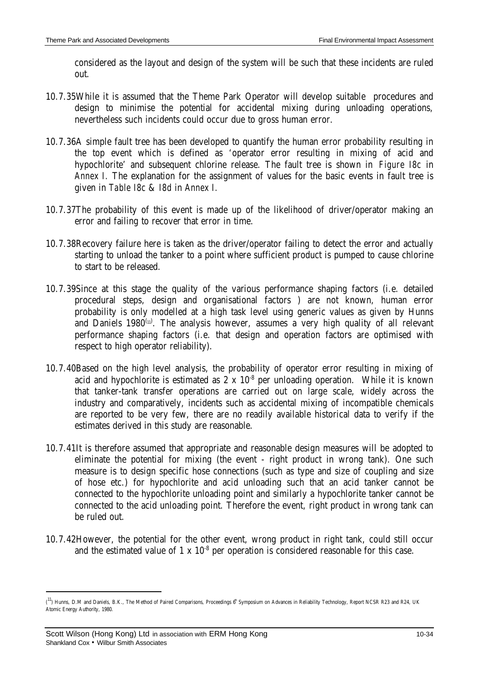considered as the layout and design of the system will be such that these incidents are ruled out.

- 10.7.35 While it is assumed that the Theme Park Operator will develop suitable procedures and design to minimise the potential for accidental mixing during unloading operations, nevertheless such incidents could occur due to gross human error.
- 10.7.36 A simple fault tree has been developed to quantify the human error probability resulting in the top event which is defined as 'operator error resulting in mixing of acid and hypochlorite' and subsequent chlorine release. The fault tree is shown in *Figure I8c* in *Annex I.* The explanation for the assignment of values for the basic events in fault tree is given in *Table I8c* & *I8d* in *Annex I.*
- 10.7.37 The probability of this event is made up of the likelihood of driver/operator making an error and failing to recover that error in time.
- 10.7.38 Recovery failure here is taken as the driver/operator failing to detect the error and actually starting to unload the tanker to a point where sufficient product is pumped to cause chlorine to start to be released.
- 10.7.39 Since at this stage the quality of the various performance shaping factors (i.e. detailed procedural steps, design and organisational factors ) are not known, human error probability is only modelled at a high task level using generic values as given by Hunns and Daniels 1980 $\text{(ii)}$ . The analysis however, assumes a very high quality of all relevant performance shaping factors (i.e. that design and operation factors are optimised with respect to high operator reliability).
- 10.7.40 Based on the high level analysis, the probability of operator error resulting in mixing of acid and hypochlorite is estimated as  $2 \times 10^{-8}$  per unloading operation. While it is known that tanker-tank transfer operations are carried out on large scale, widely across the industry and comparatively, incidents such as accidental mixing of incompatible chemicals are reported to be very few, there are no readily available historical data to verify if the estimates derived in this study are reasonable.
- 10.7.41 It is therefore assumed that appropriate and reasonable design measures will be adopted to eliminate the potential for mixing (the event - right product in wrong tank). One such measure is to design specific hose connections (such as type and size of coupling and size of hose etc.) for hypochlorite and acid unloading such that an acid tanker cannot be connected to the hypochlorite unloading point and similarly a hypochlorite tanker cannot be connected to the acid unloading point. Therefore the event, right product in wrong tank can be ruled out.
- 10.7.42 However, the potential for the other event, wrong product in right tank, could still occur and the estimated value of  $1 \times 10^{-8}$  per operation is considered reasonable for this case.

<sup>&</sup>lt;sup>11</sup>) Hunns, D.M and Daniels, B.K., The Method of Paired Comparisons, Proceedings 6<sup>th</sup> Symposium on Advances in Reliability Technology, Report NCSR R23 and R24, UK Atomic Energy Authority, 1980.

Scott Wilson (Hong Kong) Ltd in association with ERM Hong Kong 10-34 Shankland Cox • Wilbur Smith Associates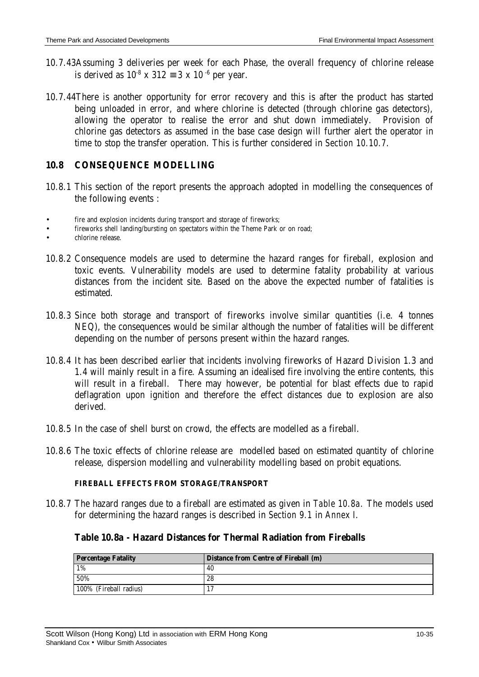- 10.7.43 Assuming 3 deliveries per week for each Phase, the overall frequency of chlorine release is derived as  $10^{-8}$  x  $312 \equiv 3$  x  $10^{-6}$  per year.
- 10.7.44 There is another opportunity for error recovery and this is after the product has started being unloaded in error, and where chlorine is detected (through chlorine gas detectors), allowing the operator to realise the error and shut down immediately. Provision of chlorine gas detectors as assumed in the base case design will further alert the operator in time to stop the transfer operation. This is further considered in *Section 10.10.7*.

### **10.8 CONSEQUENCE MODELLING**

- 10.8.1 This section of the report presents the approach adopted in modelling the consequences of the following events :
- fire and explosion incidents during transport and storage of fireworks;
- fireworks shell landing/bursting on spectators within the Theme Park or on road;
- chlorine release.
- 10.8.2 Consequence models are used to determine the hazard ranges for fireball, explosion and toxic events. Vulnerability models are used to determine fatality probability at various distances from the incident site. Based on the above the expected number of fatalities is estimated.
- 10.8.3 Since both storage and transport of fireworks involve similar quantities (i.e. 4 tonnes NEQ), the consequences would be similar although the number of fatalities will be different depending on the number of persons present within the hazard ranges.
- 10.8.4 It has been described earlier that incidents involving fireworks of Hazard Division 1.3 and 1.4 will mainly result in a fire. Assuming an idealised fire involving the entire contents, this will result in a fireball. There may however, be potential for blast effects due to rapid deflagration upon ignition and therefore the effect distances due to explosion are also derived.
- 10.8.5 In the case of shell burst on crowd, the effects are modelled as a fireball.
- 10.8.6 The toxic effects of chlorine release are modelled based on estimated quantity of chlorine release, dispersion modelling and vulnerability modelling based on probit equations.

#### **FIREBALL EFFECTS FROM STORAGE/TRANSPORT**

10.8.7 The hazard ranges due to a fireball are estimated as given in *Table 10.8a*. The models used for determining the hazard ranges is described in *Section 9.1* in *Annex I*.

#### **Table 10.8a - Hazard Distances for Thermal Radiation from Fireballs**

| <b>Percentage Fatality</b> | Distance from Centre of Fireball (m) |
|----------------------------|--------------------------------------|
| 1%                         | 40                                   |
| 50%                        | 28                                   |
| 100% (Fireball radius)     | 17                                   |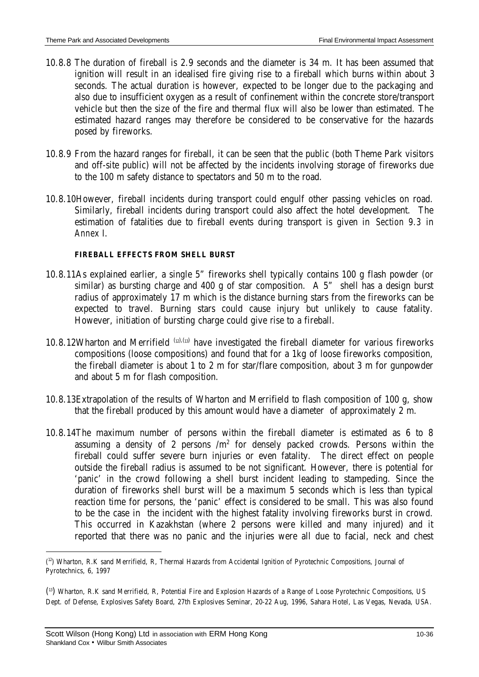- 10.8.8 The duration of fireball is 2.9 seconds and the diameter is 34 m. It has been assumed that ignition will result in an idealised fire giving rise to a fireball which burns within about 3 seconds. The actual duration is however, expected to be longer due to the packaging and also due to insufficient oxygen as a result of confinement within the concrete store/transport vehicle but then the size of the fire and thermal flux will also be lower than estimated. The estimated hazard ranges may therefore be considered to be conservative for the hazards posed by fireworks.
- 10.8.9 From the hazard ranges for fireball, it can be seen that the public (both Theme Park visitors and off-site public) will not be affected by the incidents involving storage of fireworks due to the 100 m safety distance to spectators and 50 m to the road.
- 10.8.10 However, fireball incidents during transport could engulf other passing vehicles on road. Similarly, fireball incidents during transport could also affect the hotel development. The estimation of fatalities due to fireball events during transport is given in *Section 9.3* in *Annex I*.

### **FIREBALL EFFECTS FROM SHELL BURST**

- 10.8.11 As explained earlier, a single 5" fireworks shell typically contains 100 g flash powder (or similar) as bursting charge and 400 g of star composition. A 5" shell has a design burst radius of approximately 17 m which is the distance burning stars from the fireworks can be expected to travel. Burning stars could cause injury but unlikely to cause fatality. However, initiation of bursting charge could give rise to a fireball.
- 10.8.12 Wharton and Merrifield  $(12)$ ,  $(13)$  have investigated the fireball diameter for various fireworks compositions (loose compositions) and found that for a 1kg of loose fireworks composition, the fireball diameter is about 1 to 2 m for star/flare composition, about 3 m for gunpowder and about 5 m for flash composition.
- 10.8.13 Extrapolation of the results of Wharton and Merrifield to flash composition of 100 g, show that the fireball produced by this amount would have a diameter of approximately 2 m.
- 10.8.14 The maximum number of persons within the fireball diameter is estimated as 6 to 8 assuming a density of 2 persons  $/m^2$  for densely packed crowds. Persons within the fireball could suffer severe burn injuries or even fatality. The direct effect on people outside the fireball radius is assumed to be not significant. However, there is potential for 'panic' in the crowd following a shell burst incident leading to stampeding. Since the duration of fireworks shell burst will be a maximum 5 seconds which is less than typical reaction time for persons, the 'panic' effect is considered to be small. This was also found to be the case in the incident with the highest fatality involving fireworks burst in crowd. This occurred in Kazakhstan (where 2 persons were killed and many injured) and it reported that there was no panic and the injuries were all due to facial, neck and chest

<sup>&</sup>lt;sup>(12</sup>) Wharton, R.K sand Merrifield, R, Thermal Hazards from Accidental Ignition of Pyrotechnic Compositions, Journal of Pyrotechnics, 6, 1997

<sup>(</sup> <sup>13</sup>) Wharton, R.K sand Merrifield, R, Potential Fire and Explosion Hazards of a Range of Loose Pyrotechnic Compositions, US Dept. of Defense, Explosives Safety Board, 27th Explosives Seminar, 20-22 Aug, 1996, Sahara Hotel, Las Vegas, Nevada, USA.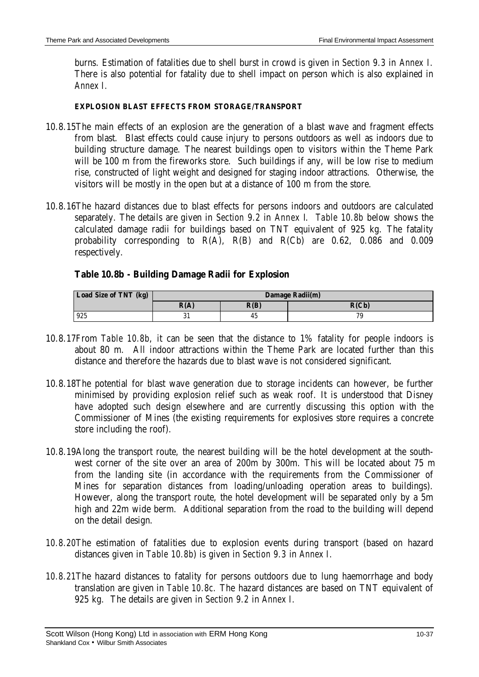burns. Estimation of fatalities due to shell burst in crowd is given in *Section 9.3* in *Annex I.* There is also potential for fatality due to shell impact on person which is also explained in *Annex I.*

### **EXPLOSION BLAST EFFECTS FROM STORAGE/TRANSPORT**

- 10.8.15 The main effects of an explosion are the generation of a blast wave and fragment effects from blast. Blast effects could cause injury to persons outdoors as well as indoors due to building structure damage. The nearest buildings open to visitors within the Theme Park will be 100 m from the fireworks store. Such buildings if any, will be low rise to medium rise, constructed of light weight and designed for staging indoor attractions. Otherwise, the visitors will be mostly in the open but at a distance of 100 m from the store.
- 10.8.16 The hazard distances due to blast effects for persons indoors and outdoors are calculated separately. The details are given in *Section 9.2* in *Annex I*. *Table 10.8b* below shows the calculated damage radii for buildings based on TNT equivalent of 925 kg. The fatality probability corresponding to R(A), R(B) and R(Cb) are 0.62, 0.086 and 0.009 respectively.

| Load Size of TNT (kg) | <b>Damage Radii(m)</b> |      |       |  |
|-----------------------|------------------------|------|-------|--|
|                       | R(A)                   | R(B) | R(Cb) |  |
| 925                   | υı                     | 45   | 79    |  |

- 10.8.17 From *Table 10.8b*, it can be seen that the distance to 1% fatality for people indoors is about 80 m. All indoor attractions within the Theme Park are located further than this distance and therefore the hazards due to blast wave is not considered significant.
- 10.8.18 The potential for blast wave generation due to storage incidents can however, be further minimised by providing explosion relief such as weak roof. It is understood that Disney have adopted such design elsewhere and are currently discussing this option with the Commissioner of Mines (the existing requirements for explosives store requires a concrete store including the roof).
- 10.8.19 Along the transport route, the nearest building will be the hotel development at the southwest corner of the site over an area of 200m by 300m. This will be located about 75 m from the landing site (in accordance with the requirements from the Commissioner of Mines for separation distances from loading/unloading operation areas to buildings). However, along the transport route, the hotel development will be separated only by a 5m high and 22m wide berm. Additional separation from the road to the building will depend on the detail design.
- 10.8.20 The estimation of fatalities due to explosion events during transport (based on hazard distances given in *Table 10.8b*) is given in *Section 9.3* in *Annex I.*
- 10.8.21 The hazard distances to fatality for persons outdoors due to lung haemorrhage and body translation are given in *Table 10.8c.* The hazard distances are based on TNT equivalent of 925 kg. The details are given in *Section 9.2* in *Annex I.*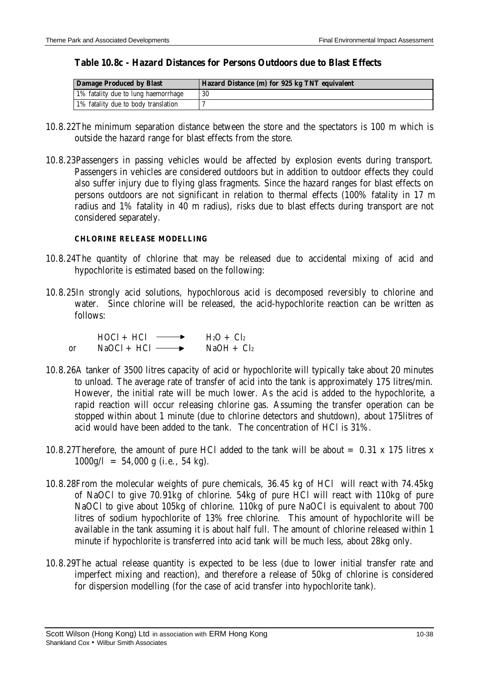#### **Table 10.8c - Hazard Distances for Persons Outdoors due to Blast Effects**

| Damage Produced by Blast            | Hazard Distance (m) for 925 kg TNT equivalent |
|-------------------------------------|-----------------------------------------------|
| 1% fatality due to lung haemorrhage | 30                                            |
| 1% fatality due to body translation |                                               |

- 10.8.22 The minimum separation distance between the store and the spectators is 100 m which is outside the hazard range for blast effects from the store.
- 10.8.23 Passengers in passing vehicles would be affected by explosion events during transport. Passengers in vehicles are considered outdoors but in addition to outdoor effects they could also suffer injury due to flying glass fragments. Since the hazard ranges for blast effects on persons outdoors are not significant in relation to thermal effects (100% fatality in 17 m radius and 1% fatality in 40 m radius), risks due to blast effects during transport are not considered separately.

#### **CHLORINE RELEASE MODELLING**

- 10.8.24 The quantity of chlorine that may be released due to accidental mixing of acid and hypochlorite is estimated based on the following:
- 10.8.25 In strongly acid solutions, hypochlorous acid is decomposed reversibly to chlorine and water. Since chlorine will be released, the acid-hypochlorite reaction can be written as follows:

 $H[OC] + H[CO] \longrightarrow H_2O + Cl_2$ or  $NaOCl + HCl \longrightarrow NaOH + Cl<sub>2</sub>$ 

- 10.8.26 A tanker of 3500 litres capacity of acid or hypochlorite will typically take about 20 minutes to unload. The average rate of transfer of acid into the tank is approximately 175 litres/min. However, the initial rate will be much lower. As the acid is added to the hypochlorite, a rapid reaction will occur releasing chlorine gas. Assuming the transfer operation can be stopped within about 1 minute (due to chlorine detectors and shutdown), about 175litres of acid would have been added to the tank. The concentration of HCl is 31%.
- 10.8.27 Therefore, the amount of pure HCl added to the tank will be about  $= 0.31 \times 175$  litres x  $1000g/l = 54,000 g$  (i.e., 54 kg).
- 10.8.28 From the molecular weights of pure chemicals, 36.45 kg of HCl will react with 74.45kg of NaOCl to give 70.91kg of chlorine. 54kg of pure HCl will react with 110kg of pure NaOCl to give about 105kg of chlorine. 110kg of pure NaOCl is equivalent to about 700 litres of sodium hypochlorite of 13% free chlorine. This amount of hypochlorite will be available in the tank assuming it is about half full. The amount of chlorine released within 1 minute if hypochlorite is transferred into acid tank will be much less, about 28kg only.
- 10.8.29 The actual release quantity is expected to be less (due to lower initial transfer rate and imperfect mixing and reaction), and therefore a release of 50kg of chlorine is considered for dispersion modelling (for the case of acid transfer into hypochlorite tank).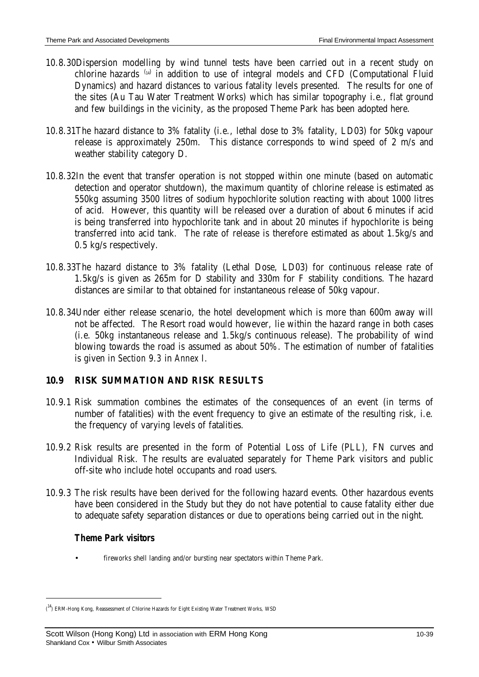- 10.8.30 Dispersion modelling by wind tunnel tests have been carried out in a recent study on chlorine hazards  $^{(14)}$  in addition to use of integral models and CFD (Computational Fluid Dynamics) and hazard distances to various fatality levels presented. The results for one of the sites (Au Tau Water Treatment Works) which has similar topography i.e., flat ground and few buildings in the vicinity, as the proposed Theme Park has been adopted here.
- 10.8.31 The hazard distance to 3% fatality (i.e., lethal dose to 3% fatality, LD03) for 50kg vapour release is approximately 250m. This distance corresponds to wind speed of 2 m/s and weather stability category D.
- 10.8.32 In the event that transfer operation is not stopped within one minute (based on automatic detection and operator shutdown), the maximum quantity of chlorine release is estimated as 550kg assuming 3500 litres of sodium hypochlorite solution reacting with about 1000 litres of acid. However, this quantity will be released over a duration of about 6 minutes if acid is being transferred into hypochlorite tank and in about 20 minutes if hypochlorite is being transferred into acid tank. The rate of release is therefore estimated as about 1.5kg/s and 0.5 kg/s respectively.
- 10.8.33 The hazard distance to 3% fatality (Lethal Dose, LD03) for continuous release rate of 1.5kg/s is given as 265m for D stability and 330m for F stability conditions. The hazard distances are similar to that obtained for instantaneous release of 50kg vapour.
- 10.8.34 Under either release scenario, the hotel development which is more than 600m away will not be affected. The Resort road would however, lie within the hazard range in both cases (i.e. 50kg instantaneous release and 1.5kg/s continuous release). The probability of wind blowing towards the road is assumed as about 50%. The estimation of number of fatalities is given in *Section 9.3* in *Annex I.*

# **10.9 RISK SUMMATION AND RISK RESULTS**

- 10.9.1 Risk summation combines the estimates of the consequences of an event (in terms of number of fatalities) with the event frequency to give an estimate of the resulting risk, i.e. the frequency of varying levels of fatalities.
- 10.9.2 Risk results are presented in the form of Potential Loss of Life (PLL), FN curves and Individual Risk. The results are evaluated separately for Theme Park visitors and public off-site who include hotel occupants and road users.
- 10.9.3 The risk results have been derived for the following hazard events. Other hazardous events have been considered in the Study but they do not have potential to cause fatality either due to adequate safety separation distances or due to operations being carried out in the night.

### *Theme Park visitors*

 $\overline{a}$ 

• fireworks shell landing and/or bursting near spectators within Theme Park.

<sup>&</sup>lt;sup>14</sup>) ERM-Hong Kong, Reassessment of Chlorine Hazards for Eight Existing Water Treatment Works, WSD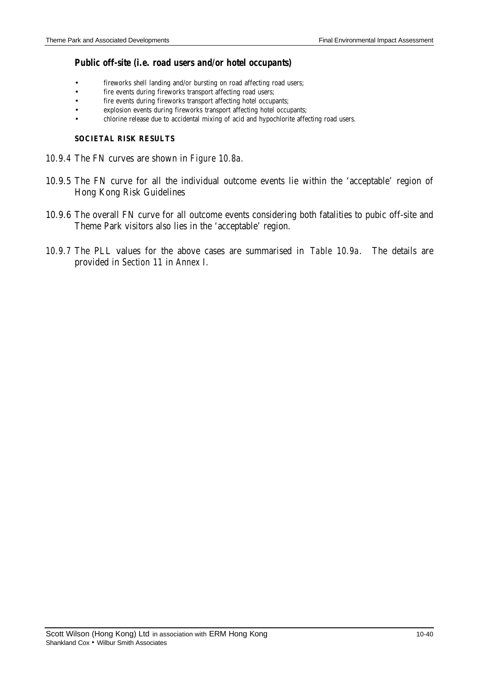#### *Public off-site (i.e. road users and/or hotel occupants)*

- fireworks shell landing and/or bursting on road affecting road users;
- fire events during fireworks transport affecting road users;
- fire events during fireworks transport affecting hotel occupants;
- explosion events during fireworks transport affecting hotel occupants;
- chlorine release due to accidental mixing of acid and hypochlorite affecting road users.

#### **SOCIETAL RISK RESULTS**

*10.9.4* The FN curves are shown in *Figure 10.8a.*

- 10.9.5 The FN curve for all the individual outcome events lie within the 'acceptable' region of Hong Kong Risk Guidelines
- 10.9.6 The overall FN curve for all outcome events considering both fatalities to pubic off-site and Theme Park visitors also lies in the 'acceptable' region.
- *10.9.7* The PLL values for the above cases are summarised in *Table 10.9a*. The details are provided in *Section 11* in *Annex I.*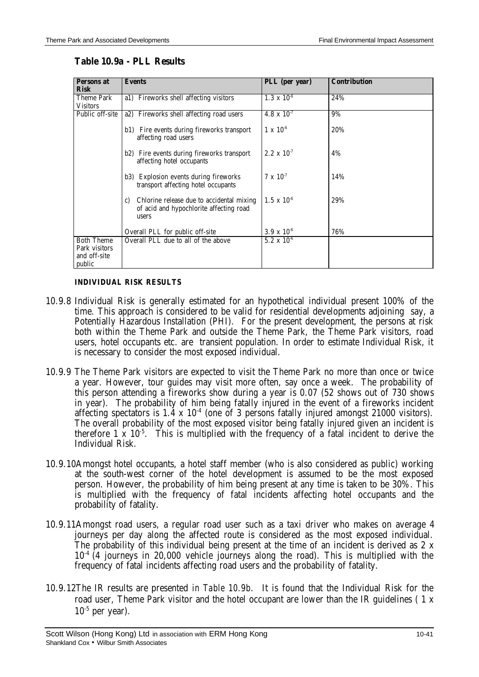### **Table 10.9a - PLL Results**

| Persons at<br><b>Risk</b>                                    | <b>Events</b>                                                                                                 | PLL (per year)       | <b>Contribution</b> |
|--------------------------------------------------------------|---------------------------------------------------------------------------------------------------------------|----------------------|---------------------|
| <b>Theme Park</b><br><b>Visitors</b>                         | al) Fireworks shell affecting visitors                                                                        | $1.3 \times 10^{6}$  | 24%                 |
| Public off-site                                              | a2) Fireworks shell affecting road users                                                                      | $4.8 \times 10^{7}$  | 9%                  |
|                                                              | b1) Fire events during fireworks transport<br>affecting road users                                            | $1 \times 10^{-6}$   | 20%                 |
|                                                              | b2) Fire events during fireworks transport<br>affecting hotel occupants                                       | $2.2 \times 10^{7}$  | 4%                  |
|                                                              | b3) Explosion events during fireworks<br>transport affecting hotel occupants                                  | $7 \times 10^{-7}$   | 14%                 |
|                                                              | Chlorine release due to accidental mixing<br>$\mathbf{c}$<br>of acid and hypochlorite affecting road<br>users | $1.5 \times 10^{6}$  | 29%                 |
|                                                              | Overall PLL for public off-site                                                                               | $3.9 \times 10^{-6}$ | 76%                 |
| <b>Both Theme</b><br>Park visitors<br>and off-site<br>public | Overall PLL due to all of the above                                                                           | $5.2 \times 10^{6}$  |                     |

#### **INDIVIDUAL RISK RESULTS**

- 10.9.8 Individual Risk is generally estimated for an hypothetical individual present 100% of the time. This approach is considered to be valid for residential developments adjoining say, a Potentially Hazardous Installation (PHI). For the present development, the persons at risk both within the Theme Park and outside the Theme Park, the Theme Park visitors, road users, hotel occupants etc. are transient population. In order to estimate Individual Risk, it is necessary to consider the most exposed individual.
- 10.9.9 The Theme Park visitors are expected to visit the Theme Park no more than once or twice a year. However, tour guides may visit more often, say once a week. The probability of this person attending a fireworks show during a year is 0.07 (52 shows out of 730 shows in year). The probability of him being fatally injured in the event of a fireworks incident affecting spectators is  $1.4 \times 10^{-4}$  (one of 3 persons fatally injured amongst 21000 visitors). The overall probability of the most exposed visitor being fatally injured given an incident is therefore  $1 \times 10^{-5}$ . This is multiplied with the frequency of a fatal incident to derive the Individual Risk.
- 10.9.10 Amongst hotel occupants, a hotel staff member (who is also considered as public) working at the south-west corner of the hotel development is assumed to be the most exposed person. However, the probability of him being present at any time is taken to be 30%. This is multiplied with the frequency of fatal incidents affecting hotel occupants and the probability of fatality.
- 10.9.11 Amongst road users, a regular road user such as a taxi driver who makes on average 4 journeys per day along the affected route is considered as the most exposed individual. The probability of this individual being present at the time of an incident is derived as 2 x  $10^{-4}$  (4 journeys in 20,000 vehicle journeys along the road). This is multiplied with the frequency of fatal incidents affecting road users and the probability of fatality.
- 10.9.12 The IR results are presented *in Table 10.9b*. It is found that the Individual Risk for the road user, Theme Park visitor and the hotel occupant are lower than the IR guidelines ( 1 x  $10^{-5}$  per year).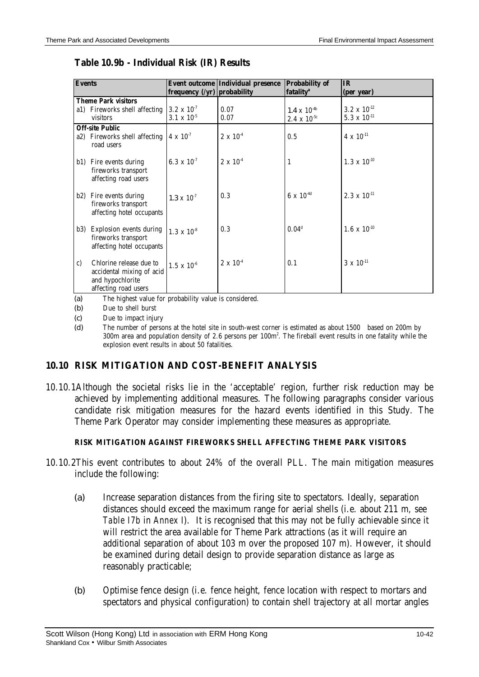| <b>Events</b> |                                                                                                  |                             | Event outcome Individual presence Probability of |                       | <b>IR</b>                          |
|---------------|--------------------------------------------------------------------------------------------------|-----------------------------|--------------------------------------------------|-----------------------|------------------------------------|
|               |                                                                                                  | frequency (/yr) probability |                                                  | fatality <sup>a</sup> | (per year)                         |
|               | <b>Theme Park visitors</b>                                                                       |                             |                                                  |                       |                                    |
|               | a1) Fireworks shell affecting $ 3.2 \times 10^7$                                                 |                             | 0.07                                             | $1.4 \times 10^{-4b}$ | $3.2 \times 10^{-12}$              |
|               | visitors                                                                                         | $3.1 \times 10^{-5}$        | 0.07                                             | 2.4 x $10^{-6c}$      | 5.3 x $10^{-11}$                   |
|               | <b>Off-site Public</b>                                                                           |                             |                                                  |                       |                                    |
|               | a2) Fireworks shell affecting $\left  4 \times 10^{7} \right $<br>road users                     |                             | $2 \times 10^{-4}$                               | 0.5                   | $4 \times 10^{-11}$                |
|               | b1) Fire events during<br>fireworks transport<br>affecting road users                            | 6.3 x $10^{7}$              | $2 \ \mathrm{x} \ 10^4$                          | $\mathbf{1}$          | $1.3\ \mathrm{x}\ 10^{\text{-}10}$ |
|               | b2) Fire events during<br>fireworks transport<br>affecting hotel occupants                       | $1.3 \times 10^{-7}$        | 0.3                                              | $6 \times 10^{-4d}$   | $2.3 \times 10^{-11}$              |
|               | b3) Explosion events during<br>fireworks transport<br>affecting hotel occupants                  | $1.3 \times 10^{-8}$        | 0.3                                              | 0.04 <sup>d</sup>     | $1.6\ x\ 10^{\text{-}10}$          |
| C)            | Chlorine release due to<br>accidental mixing of acid<br>and hypochlorite<br>affecting road users | $1.5 \times 10^{-6}$        | $2 \times 10^{-4}$                               | 0.1                   | $3 \times 10^{-11}$                |

#### **Table 10.9b - Individual Risk (IR) Results**

(a) The highest value for probability value is considered.

(b) Due to shell burst

(c) Due to impact injury

(d) The number of persons at the hotel site in south-west corner is estimated as about 1500 based on 200m by 300m area and population density of 2.6 persons per 100m<sup>2</sup> . The fireball event results in one fatality while the explosion event results in about 50 fatalities.

### **10.10 RISK MITIGATION AND COST-BENEFIT ANALYSIS**

10.10.1 Although the societal risks lie in the 'acceptable' region, further risk reduction may be achieved by implementing additional measures. The following paragraphs consider various candidate risk mitigation measures for the hazard events identified in this Study. The Theme Park Operator may consider implementing these measures as appropriate.

#### **RISK MITIGATION AGAINST FIREWORKS SHELL AFFECTING THEME PARK VISITORS**

- 10.10.2 This event contributes to about 24% of the overall PLL. The main mitigation measures include the following:
	- (a) Increase separation distances from the firing site to spectators. Ideally, separation distances should exceed the maximum range for aerial shells (i.e. about 211 m, see *Table I7b* in *Annex I*). It is recognised that this may not be fully achievable since it will restrict the area available for Theme Park attractions (as it will require an additional separation of about 103 m over the proposed 107 m). However, it should be examined during detail design to provide separation distance as large as reasonably practicable;
	- (b) Optimise fence design (i.e. fence height, fence location with respect to mortars and spectators and physical configuration) to contain shell trajectory at all mortar angles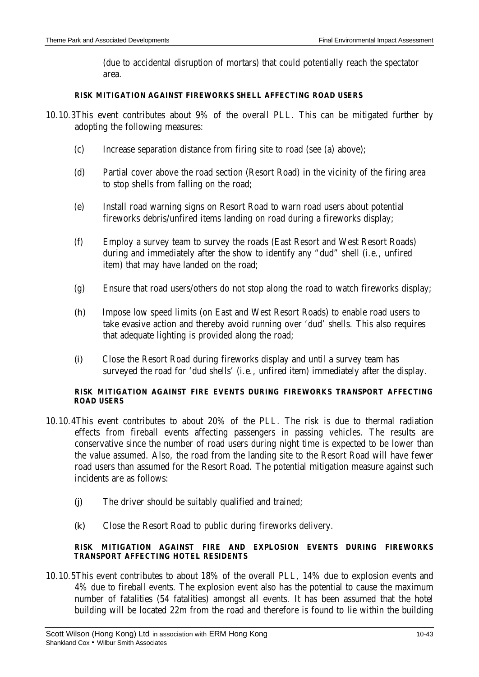(due to accidental disruption of mortars) that could potentially reach the spectator area.

### **RISK MITIGATION AGAINST FIREWORKS SHELL AFFECTING ROAD USERS**

- 10.10.3 This event contributes about 9% of the overall PLL. This can be mitigated further by adopting the following measures:
	- (c) Increase separation distance from firing site to road (see (a) above);
	- (d) Partial cover above the road section (Resort Road) in the vicinity of the firing area to stop shells from falling on the road;
	- (e) Install road warning signs on Resort Road to warn road users about potential fireworks debris/unfired items landing on road during a fireworks display;
	- (f) Employ a survey team to survey the roads (East Resort and West Resort Roads) during and immediately after the show to identify any "dud" shell (i.e., unfired item) that may have landed on the road;
	- (g) Ensure that road users/others do not stop along the road to watch fireworks display;
	- (h) Impose low speed limits (on East and West Resort Roads) to enable road users to take evasive action and thereby avoid running over 'dud' shells. This also requires that adequate lighting is provided along the road;
	- (i) Close the Resort Road during fireworks display and until a survey team has surveyed the road for 'dud shells' (i.e., unfired item) immediately after the display.

#### **RISK MITIGATION AGAINST FIRE EVENTS DURING FIREWORKS TRANSPORT AFFECTING ROAD USERS**

- 10.10.4 This event contributes to about 20% of the PLL. The risk is due to thermal radiation effects from fireball events affecting passengers in passing vehicles. The results are conservative since the number of road users during night time is expected to be lower than the value assumed. Also, the road from the landing site to the Resort Road will have fewer road users than assumed for the Resort Road. The potential mitigation measure against such incidents are as follows:
	- (j) The driver should be suitably qualified and trained;
	- (k) Close the Resort Road to public during fireworks delivery.

#### **RISK MITIGATION AGAINST FIRE AND EXPLOSION EVENTS DURING FIREWORKS TRANSPORT AFFECTING HOTEL RESIDENTS**

10.10.5 This event contributes to about 18% of the overall PLL, 14% due to explosion events and 4% due to fireball events. The explosion event also has the potential to cause the maximum number of fatalities (54 fatalities) amongst all events. It has been assumed that the hotel building will be located 22m from the road and therefore is found to lie within the building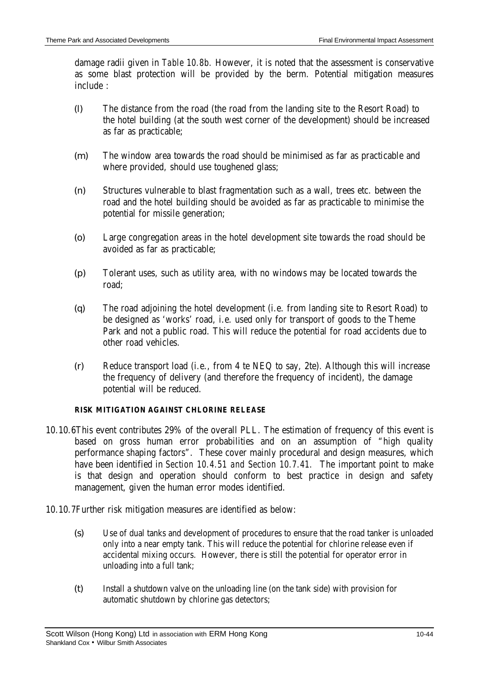damage radii given in *Table 10.8b.* However, it is noted that the assessment is conservative as some blast protection will be provided by the berm. Potential mitigation measures include :

- (l) The distance from the road (the road from the landing site to the Resort Road) to the hotel building (at the south west corner of the development) should be increased as far as practicable;
- (m) The window area towards the road should be minimised as far as practicable and where provided, should use toughened glass;
- (n) Structures vulnerable to blast fragmentation such as a wall, trees etc. between the road and the hotel building should be avoided as far as practicable to minimise the potential for missile generation;
- (o) Large congregation areas in the hotel development site towards the road should be avoided as far as practicable;
- (p) Tolerant uses, such as utility area, with no windows may be located towards the road;
- (q) The road adjoining the hotel development (i.e. from landing site to Resort Road) to be designed as 'works' road, i.e. used only for transport of goods to the Theme Park and not a public road. This will reduce the potential for road accidents due to other road vehicles.
- (r) Reduce transport load (i.e., from 4 te NEQ to say, 2te). Although this will increase the frequency of delivery (and therefore the frequency of incident), the damage potential will be reduced.

### **RISK MITIGATION AGAINST CHLORINE RELEASE**

- 10.10.6 This event contributes 29% of the overall PLL. The estimation of frequency of this event is based on gross human error probabilities and on an assumption of "high quality performance shaping factors". These cover mainly procedural and design measures, which have been identified in *Section 10.4.51 and Section 10.7.41.* The important point to make is that design and operation should conform to best practice in design and safety management, given the human error modes identified.
- 10.10.7 Further risk mitigation measures are identified as below:
	- (s) Use of dual tanks and development of procedures to ensure that the road tanker is unloaded only into a near empty tank. This will reduce the potential for chlorine release even if accidental mixing occurs. However, there is still the potential for operator error in unloading into a full tank;
	- (t) Install a shutdown valve on the unloading line (on the tank side) with provision for automatic shutdown by chlorine gas detectors;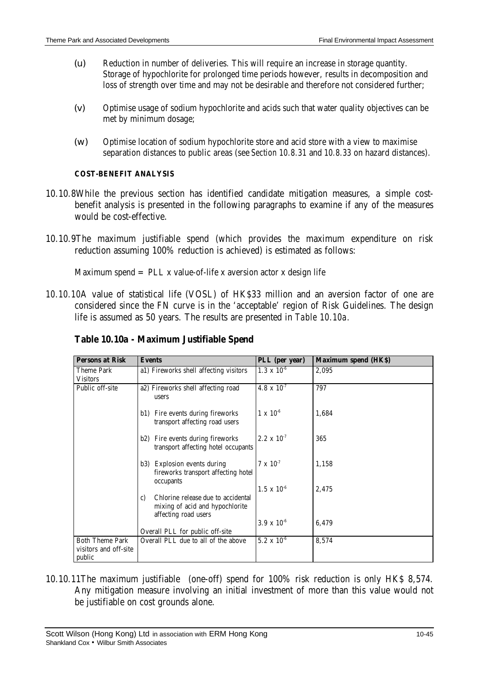- (u) Reduction in number of deliveries. This will require an increase in storage quantity. Storage of hypochlorite for prolonged time periods however, results in decomposition and loss of strength over time and may not be desirable and therefore not considered further;
- (v) Optimise usage of sodium hypochlorite and acids such that water quality objectives can be met by minimum dosage;
- (w) Optimise location of sodium hypochlorite store and acid store with a view to maximise separation distances to public areas (see *Section 10.8.31* and *10.8.33* on hazard distances).

#### **COST-BENEFIT ANALYSIS**

- 10.10.8 While the previous section has identified candidate mitigation measures, a simple costbenefit analysis is presented in the following paragraphs to examine if any of the measures would be cost-effective.
- 10.10.9 The maximum justifiable spend (which provides the maximum expenditure on risk reduction assuming 100% reduction is achieved) is estimated as follows:

Maximum spend  $=$  PLL x value-of-life x aversion actor x design life

10.10.10A value of statistical life (VOSL) of HK\$33 million and an aversion factor of one are considered since the FN curve is in the 'acceptable' region of Risk Guidelines. The design life is assumed as 50 years. The results are presented in *Table 10.10a.*

| <b>Persons at Risk</b>               | <b>Events</b>                                                                                       | PLL (per year)       | <b>Maximum spend (HKS)</b> |
|--------------------------------------|-----------------------------------------------------------------------------------------------------|----------------------|----------------------------|
| <b>Theme Park</b><br><b>Visitors</b> | a1) Fireworks shell affecting visitors                                                              | $1.3 \times 10^{-6}$ | 2,095                      |
| Public off-site                      | a2) Fireworks shell affecting road<br>users                                                         | 4.8 x $10^{7}$       | 797                        |
|                                      | Fire events during fireworks<br>b1)<br>transport affecting road users                               | $1 \times 10^{-6}$   | 1,684                      |
|                                      | Fire events during fireworks<br>b2)<br>transport affecting hotel occupants                          | $2.2 \times 10^{7}$  | 365                        |
|                                      | b3) Explosion events during<br>fireworks transport affecting hotel<br>occupants                     | $7 \times 10^{-7}$   | 1,158                      |
|                                      |                                                                                                     | $1.5 \times 10^{-6}$ | 2,475                      |
|                                      | Chlorine release due to accidental<br>c)<br>mixing of acid and hypochlorite<br>affecting road users |                      |                            |
|                                      |                                                                                                     | $3.9 \times 10^{-6}$ | 6,479                      |
|                                      | Overall PLL for public off-site                                                                     |                      |                            |
| <b>Both Theme Park</b>               | Overall PLL due to all of the above                                                                 | $5.2 \times 10^{-6}$ | 8,574                      |
| visitors and off-site<br>public      |                                                                                                     |                      |                            |
|                                      |                                                                                                     |                      |                            |

**Table 10.10a - Maximum Justifiable Spend**

10.10.11 The maximum justifiable (one-off) spend for 100% risk reduction is only HK\$ 8,574. Any mitigation measure involving an initial investment of more than this value would not be justifiable on cost grounds alone.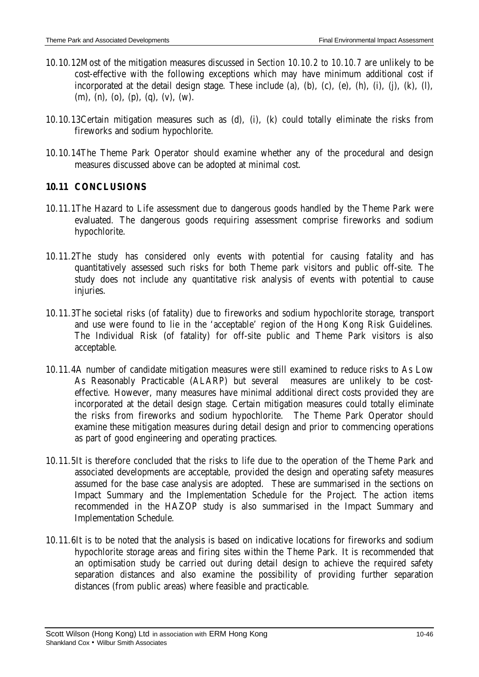- 10.10.12 Most of the mitigation measures discussed in *Section 10.10.2 to 10.10.7* are unlikely to be cost-effective with the following exceptions which may have minimum additional cost if incorporated at the detail design stage. These include (a), (b), (c), (e), (h), (i), (j), (k), (l), (m), (n), (o), (p), (q), (v), (w).
- 10.10.13 Certain mitigation measures such as (d), (i), (k) could totally eliminate the risks from fireworks and sodium hypochlorite.
- 10.10.14 The Theme Park Operator should examine whether any of the procedural and design measures discussed above can be adopted at minimal cost.

# **10.11 CONCLUSIONS**

- 10.11.1 The Hazard to Life assessment due to dangerous goods handled by the Theme Park were evaluated. The dangerous goods requiring assessment comprise fireworks and sodium hypochlorite.
- 10.11.2 The study has considered only events with potential for causing fatality and has quantitatively assessed such risks for both Theme park visitors and public off-site. The study does not include any quantitative risk analysis of events with potential to cause injuries.
- 10.11.3 The societal risks (of fatality) due to fireworks and sodium hypochlorite storage, transport and use were found to lie in the 'acceptable' region of the Hong Kong Risk Guidelines. The Individual Risk (of fatality) for off-site public and Theme Park visitors is also acceptable.
- 10.11.4A number of candidate mitigation measures were still examined to reduce risks to As Low As Reasonably Practicable (ALARP) but several measures are unlikely to be costeffective. However, many measures have minimal additional direct costs provided they are incorporated at the detail design stage. Certain mitigation measures could totally eliminate the risks from fireworks and sodium hypochlorite. The Theme Park Operator should examine these mitigation measures during detail design and prior to commencing operations as part of good engineering and operating practices.
- 10.11.5 It is therefore concluded that the risks to life due to the operation of the Theme Park and associated developments are acceptable, provided the design and operating safety measures assumed for the base case analysis are adopted. These are summarised in the sections on Impact Summary and the Implementation Schedule for the Project. The action items recommended in the HAZOP study is also summarised in the Impact Summary and Implementation Schedule.
- 10.11.6 It is to be noted that the analysis is based on indicative locations for fireworks and sodium hypochlorite storage areas and firing sites within the Theme Park. It is recommended that an optimisation study be carried out during detail design to achieve the required safety separation distances and also examine the possibility of providing further separation distances (from public areas) where feasible and practicable.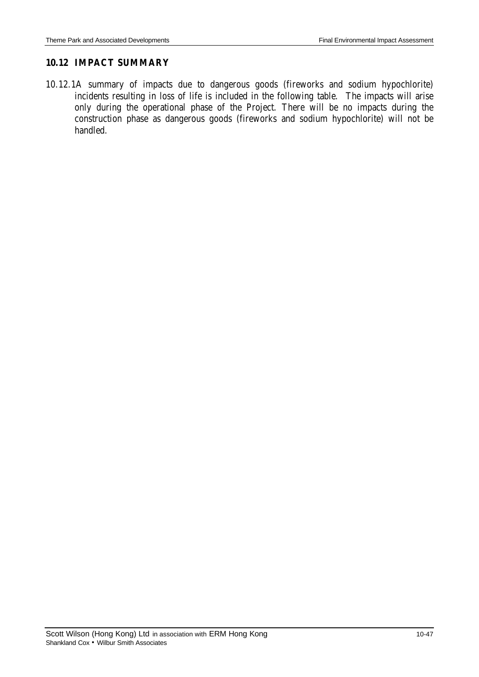#### **10.12 IMPACT SUMMARY**

10.12.1 A summary of impacts due to dangerous goods (fireworks and sodium hypochlorite) incidents resulting in loss of life is included in the following table. The impacts will arise only during the operational phase of the Project. There will be no impacts during the construction phase as dangerous goods (fireworks and sodium hypochlorite) will not be handled.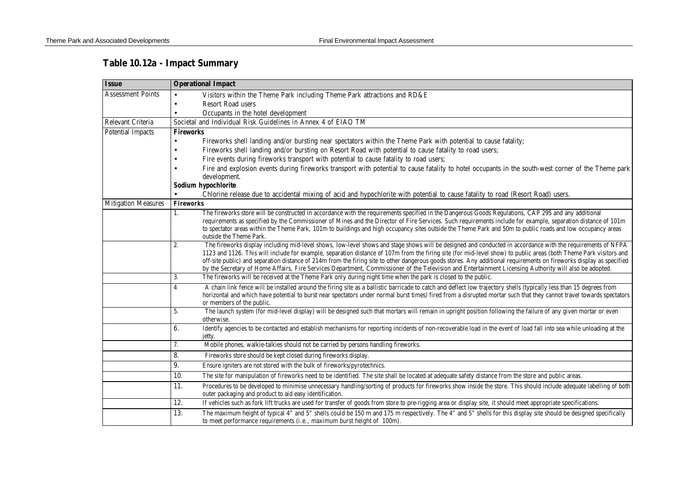# **Table 10.12a - Impact Summary**

| <b>Issue</b>               | <b>Operational Impact</b>                                                                                                                                                                                                                                                                                                                                                                                                                                                                                                                                                                                                                                                |  |  |
|----------------------------|--------------------------------------------------------------------------------------------------------------------------------------------------------------------------------------------------------------------------------------------------------------------------------------------------------------------------------------------------------------------------------------------------------------------------------------------------------------------------------------------------------------------------------------------------------------------------------------------------------------------------------------------------------------------------|--|--|
| <b>Assessment Points</b>   | Visitors within the Theme Park including Theme Park attractions and RD&E                                                                                                                                                                                                                                                                                                                                                                                                                                                                                                                                                                                                 |  |  |
|                            | Resort Road users<br>$\bullet$                                                                                                                                                                                                                                                                                                                                                                                                                                                                                                                                                                                                                                           |  |  |
|                            | Occupants in the hotel development<br>$\bullet$                                                                                                                                                                                                                                                                                                                                                                                                                                                                                                                                                                                                                          |  |  |
| Relevant Criteria          | Societal and Individual Risk Guidelines in Annex 4 of EIAO TM                                                                                                                                                                                                                                                                                                                                                                                                                                                                                                                                                                                                            |  |  |
| <b>Potential Impacts</b>   | <b>Fireworks</b>                                                                                                                                                                                                                                                                                                                                                                                                                                                                                                                                                                                                                                                         |  |  |
|                            | Fireworks shell landing and/or bursting near spectators within the Theme Park with potential to cause fatality;                                                                                                                                                                                                                                                                                                                                                                                                                                                                                                                                                          |  |  |
|                            | Fireworks shell landing and/or bursting on Resort Road with potential to cause fatality to road users;<br>$\bullet$                                                                                                                                                                                                                                                                                                                                                                                                                                                                                                                                                      |  |  |
|                            | Fire events during fireworks transport with potential to cause fatality to road users;                                                                                                                                                                                                                                                                                                                                                                                                                                                                                                                                                                                   |  |  |
|                            | Fire and explosion events during fireworks transport with potential to cause fatality to hotel occupants in the south-west corner of the Theme park                                                                                                                                                                                                                                                                                                                                                                                                                                                                                                                      |  |  |
|                            | development.<br>Sodium hypochlorite                                                                                                                                                                                                                                                                                                                                                                                                                                                                                                                                                                                                                                      |  |  |
|                            | Chlorine release due to accidental mixing of acid and hypochlorite with potential to cause fatality to road (Resort Road) users.                                                                                                                                                                                                                                                                                                                                                                                                                                                                                                                                         |  |  |
| <b>Mitigation Measures</b> | <b>Fireworks</b>                                                                                                                                                                                                                                                                                                                                                                                                                                                                                                                                                                                                                                                         |  |  |
|                            | The fireworks store will be constructed in accordance with the requirements specified in the Dangerous Goods Regulations, CAP 295 and any additional<br>1.<br>requirements as specified by the Commissioner of Mines and the Director of Fire Services. Such requirements include for example, separation distance of 101m<br>to spectator areas within the Theme Park, 101m to buildings and high occupancy sites outside the Theme Park and 50m to public roads and low occupancy areas<br>outside the Theme Park.                                                                                                                                                     |  |  |
|                            | The fireworks display including mid-level shows, low-level shows and stage shows will be designed and conducted in accordance with the requirements of NFPA<br>2.<br>1123 and 1126. This will include for example, separation distance of 107m from the firing site (for mid-level show) to public areas (both Theme Park visitors and<br>off-site public) and separation distance of 214m from the firing site to other dangerous goods stores. Any additional requirements on fireworks display as specified<br>by the Secretary of Home Affairs, Fire Services Department, Commissioner of the Television and Entertainment Licensing Authority will also be adopted. |  |  |
|                            | 3.<br>The fireworks will be received at the Theme Park only during night time when the park is closed to the public.                                                                                                                                                                                                                                                                                                                                                                                                                                                                                                                                                     |  |  |
|                            | A chain link fence will be installed around the firing site as a ballistic barricade to catch and deflect low trajectory shells (typically less than 15 degrees from<br>4<br>horizontal and which have potential to burst near spectators under normal burst times) fired from a disrupted mortar such that they cannot travel towards spectators<br>or members of the public.                                                                                                                                                                                                                                                                                           |  |  |
|                            | The launch system (for mid-level display) will be designed such that mortars will remain in upright position following the failure of any given mortar or even<br>5.<br>otherwise.                                                                                                                                                                                                                                                                                                                                                                                                                                                                                       |  |  |
|                            | 6.<br>Identify agencies to be contacted and establish mechanisms for reporting incidents of non-recoverable load in the event of load fall into sea while unloading at the<br>jetty.                                                                                                                                                                                                                                                                                                                                                                                                                                                                                     |  |  |
|                            | Mobile phones, walkie-talkies should not be carried by persons handling fireworks.<br>7.                                                                                                                                                                                                                                                                                                                                                                                                                                                                                                                                                                                 |  |  |
|                            | 8.<br>Fireworks store should be kept closed during fireworks display.                                                                                                                                                                                                                                                                                                                                                                                                                                                                                                                                                                                                    |  |  |
|                            | 9.<br>Ensure igniters are not stored with the bulk of fireworks/pyrotechnics.                                                                                                                                                                                                                                                                                                                                                                                                                                                                                                                                                                                            |  |  |
|                            | 10.<br>The site for manipulation of fireworks need to be identified. The site shall be located at adequate safety distance from the store and public areas.                                                                                                                                                                                                                                                                                                                                                                                                                                                                                                              |  |  |
|                            | 11.<br>Procedures to be developed to minimise unnecessary handling/sorting of products for fireworks show inside the store. This should include adequate labelling of both<br>outer packaging and product to aid easy identification.                                                                                                                                                                                                                                                                                                                                                                                                                                    |  |  |
|                            | 12.<br>If vehicles such as fork lift trucks are used for transfer of goods from store to pre-rigging area or display site, it should meet appropriate specifications.                                                                                                                                                                                                                                                                                                                                                                                                                                                                                                    |  |  |
|                            | 13.<br>The maximum height of typical 4" and 5" shells could be 150 m and 175 m respectively. The 4" and 5" shells for this display site should be designed specifically<br>to meet performance requirements (i.e., maximum burst height of 100m).                                                                                                                                                                                                                                                                                                                                                                                                                        |  |  |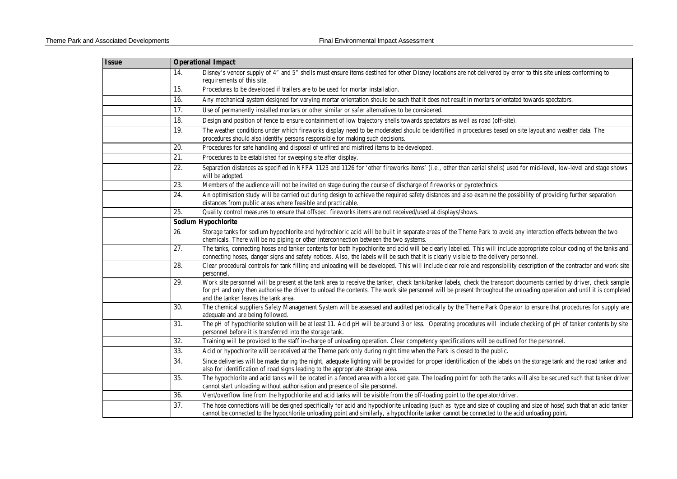| <b>Issue</b> |     | <b>Operational Impact</b>                                                                                                                                                                                                                                                                                                                                                             |
|--------------|-----|---------------------------------------------------------------------------------------------------------------------------------------------------------------------------------------------------------------------------------------------------------------------------------------------------------------------------------------------------------------------------------------|
|              | 14. | Disney's vendor supply of 4" and 5" shells must ensure items destined for other Disney locations are not delivered by error to this site unless conforming to<br>requirements of this site.                                                                                                                                                                                           |
|              | 15. | Procedures to be developed if trailers are to be used for mortar installation.                                                                                                                                                                                                                                                                                                        |
|              | 16. | Any mechanical system designed for varying mortar orientation should be such that it does not result in mortars orientated towards spectators.                                                                                                                                                                                                                                        |
|              | 17. | Use of permanently installed mortars or other similar or safer alternatives to be considered.                                                                                                                                                                                                                                                                                         |
|              | 18. | Design and position of fence to ensure containment of low trajectory shells towards spectators as well as road (off-site).                                                                                                                                                                                                                                                            |
|              | 19. | The weather conditions under which fireworks display need to be moderated should be identified in procedures based on site layout and weather data. The<br>procedures should also identify persons responsible for making such decisions.                                                                                                                                             |
|              | 20. | Procedures for safe handling and disposal of unfired and misfired items to be developed.                                                                                                                                                                                                                                                                                              |
|              | 21. | Procedures to be established for sweeping site after display.                                                                                                                                                                                                                                                                                                                         |
|              | 22. | Separation distances as specified in NFPA 1123 and 1126 for 'other fireworks items' (i.e., other than aerial shells) used for mid-level, low-level and stage shows<br>will be adopted.                                                                                                                                                                                                |
|              | 23. | Members of the audience will not be invited on stage during the course of discharge of fireworks or pyrotechnics.                                                                                                                                                                                                                                                                     |
|              | 24. | An optimisation study will be carried out during design to achieve the required safety distances and also examine the possibility of providing further separation<br>distances from public areas where feasible and practicable.                                                                                                                                                      |
|              | 25. | Quality control measures to ensure that offspec. fireworks items are not received/used at displays/shows.                                                                                                                                                                                                                                                                             |
|              |     | <b>Sodium Hypochlorite</b>                                                                                                                                                                                                                                                                                                                                                            |
|              | 26. | Storage tanks for sodium hypochlorite and hydrochloric acid will be built in separate areas of the Theme Park to avoid any interaction effects between the two<br>chemicals. There will be no piping or other interconnection between the two systems.                                                                                                                                |
|              | 27. | The tanks, connecting hoses and tanker contents for both hypochlorite and acid will be clearly labelled. This will include appropriate colour coding of the tanks and<br>connecting hoses, danger signs and safety notices. Also, the labels will be such that it is clearly visible to the delivery personnel.                                                                       |
|              | 28. | Clear procedural controls for tank filling and unloading will be developed. This will include clear role and responsibility description of the contractor and work site<br>personnel.                                                                                                                                                                                                 |
|              | 29. | Work site personnel will be present at the tank area to receive the tanker, check tank/tanker labels, check the transport documents carried by driver, check sample<br>for pH and only then authorise the driver to unload the contents. The work site personnel will be present throughout the unloading operation and until it is completed<br>and the tanker leaves the tank area. |
|              | 30. | The chemical suppliers Safety Management System will be assessed and audited periodically by the Theme Park Operator to ensure that procedures for supply are<br>adequate and are being followed.                                                                                                                                                                                     |
|              | 31. | The pH of hypochlorite solution will be at least 11. Acid pH will be around 3 or less. Operating procedures will include checking of pH of tanker contents by site<br>personnel before it is transferred into the storage tank.                                                                                                                                                       |
|              | 32. | Training will be provided to the staff in-charge of unloading operation. Clear competency specifications will be outlined for the personnel.                                                                                                                                                                                                                                          |
|              | 33. | Acid or hypochlorite will be received at the Theme park only during night time when the Park is closed to the public.                                                                                                                                                                                                                                                                 |
|              | 34. | Since deliveries will be made during the night, adequate lighting will be provided for proper identification of the labels on the storage tank and the road tanker and<br>also for identification of road signs leading to the appropriate storage area.                                                                                                                              |
|              | 35. | The hypochlorite and acid tanks will be located in a fenced area with a locked gate. The loading point for both the tanks will also be secured such that tanker driver<br>cannot start unloading without authorisation and presence of site personnel.                                                                                                                                |
|              | 36. | Vent/overflow line from the hypochlorite and acid tanks will be visible from the off-loading point to the operator/driver.                                                                                                                                                                                                                                                            |
|              | 37. | The hose connections will be designed specifically for acid and hypochlorite unloading (such as type and size of coupling and size of hose) such that an acid tanker<br>cannot be connected to the hypochlorite unloading point and similarly, a hypochlorite tanker cannot be connected to the acid unloading point.                                                                 |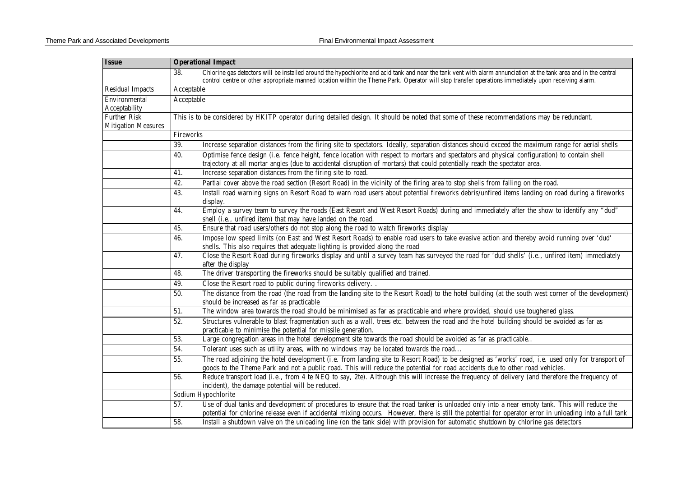| <b>Issue</b>                                      | <b>Operational Impact</b>                                                                                                                                                                                                                                                                                                       |  |  |
|---------------------------------------------------|---------------------------------------------------------------------------------------------------------------------------------------------------------------------------------------------------------------------------------------------------------------------------------------------------------------------------------|--|--|
|                                                   | 38.<br>Chlorine gas detectors will be installed around the hypochlorite and acid tank and near the tank vent with alarm annunciation at the tank area and in the central<br>control centre or other appropriate manned location within the Theme Park. Operator will stop transfer operations immediately upon receiving alarm. |  |  |
| <b>Residual Impacts</b>                           | Acceptable                                                                                                                                                                                                                                                                                                                      |  |  |
| Environmental                                     | Acceptable                                                                                                                                                                                                                                                                                                                      |  |  |
| Acceptability                                     |                                                                                                                                                                                                                                                                                                                                 |  |  |
| <b>Further Risk</b><br><b>Mitigation Measures</b> | This is to be considered by HKITP operator during detailed design. It should be noted that some of these recommendations may be redundant.                                                                                                                                                                                      |  |  |
|                                                   | Fireworks                                                                                                                                                                                                                                                                                                                       |  |  |
|                                                   | 39.<br>Increase separation distances from the firing site to spectators. Ideally, separation distances should exceed the maximum range for aerial shells                                                                                                                                                                        |  |  |
|                                                   | Optimise fence design (i.e. fence height, fence location with respect to mortars and spectators and physical configuration) to contain shell<br>40.<br>trajectory at all mortar angles (due to accidental disruption of mortars) that could potentially reach the spectator area.                                               |  |  |
|                                                   | Increase separation distances from the firing site to road.<br>41.                                                                                                                                                                                                                                                              |  |  |
|                                                   | Partial cover above the road section (Resort Road) in the vicinity of the firing area to stop shells from falling on the road.<br>42.                                                                                                                                                                                           |  |  |
|                                                   | Install road warning signs on Resort Road to warn road users about potential fireworks debris/unfired items landing on road during a fireworks<br>43.<br>display.                                                                                                                                                               |  |  |
|                                                   | Employ a survey team to survey the roads (East Resort and West Resort Roads) during and immediately after the show to identify any "dud"<br>44.<br>shell (i.e., unfired item) that may have landed on the road.                                                                                                                 |  |  |
|                                                   | Ensure that road users/others do not stop along the road to watch fireworks display<br>45.                                                                                                                                                                                                                                      |  |  |
|                                                   | Impose low speed limits (on East and West Resort Roads) to enable road users to take evasive action and thereby avoid running over 'dud'<br>46.<br>shells. This also requires that adequate lighting is provided along the road                                                                                                 |  |  |
|                                                   | Close the Resort Road during fireworks display and until a survey team has surveyed the road for 'dud shells' (i.e., unfired item) immediately<br>47.<br>after the display                                                                                                                                                      |  |  |
|                                                   | The driver transporting the fireworks should be suitably qualified and trained.<br>48.                                                                                                                                                                                                                                          |  |  |
|                                                   | Close the Resort road to public during fireworks delivery. .<br>49.                                                                                                                                                                                                                                                             |  |  |
|                                                   | The distance from the road (the road from the landing site to the Resort Road) to the hotel building (at the south west corner of the development)<br>50.<br>should be increased as far as practicable                                                                                                                          |  |  |
|                                                   | The window area towards the road should be minimised as far as practicable and where provided, should use toughened glass.<br>51.                                                                                                                                                                                               |  |  |
|                                                   | 52.<br>Structures vulnerable to blast fragmentation such as a wall, trees etc. between the road and the hotel building should be avoided as far as<br>practicable to minimise the potential for missile generation.                                                                                                             |  |  |
|                                                   | Large congregation areas in the hotel development site towards the road should be avoided as far as practicable<br>53.                                                                                                                                                                                                          |  |  |
|                                                   | Tolerant uses such as utility areas, with no windows may be located towards the road<br>54.                                                                                                                                                                                                                                     |  |  |
|                                                   | The road adjoining the hotel development (i.e. from landing site to Resort Road) to be designed as 'works' road, i.e. used only for transport of<br>55.<br>goods to the Theme Park and not a public road. This will reduce the potential for road accidents due to other road vehicles.                                         |  |  |
|                                                   | Reduce transport load (i.e., from 4 te NEQ to say, 2te). Although this will increase the frequency of delivery (and therefore the frequency of<br>56.<br>incident), the damage potential will be reduced.                                                                                                                       |  |  |
|                                                   | Sodium Hypochlorite                                                                                                                                                                                                                                                                                                             |  |  |
|                                                   | Use of dual tanks and development of procedures to ensure that the road tanker is unloaded only into a near empty tank. This will reduce the<br>57.                                                                                                                                                                             |  |  |
|                                                   | potential for chlorine release even if accidental mixing occurs. However, there is still the potential for operator error in unloading into a full tank                                                                                                                                                                         |  |  |
|                                                   | Install a shutdown valve on the unloading line (on the tank side) with provision for automatic shutdown by chlorine gas detectors<br>58.                                                                                                                                                                                        |  |  |